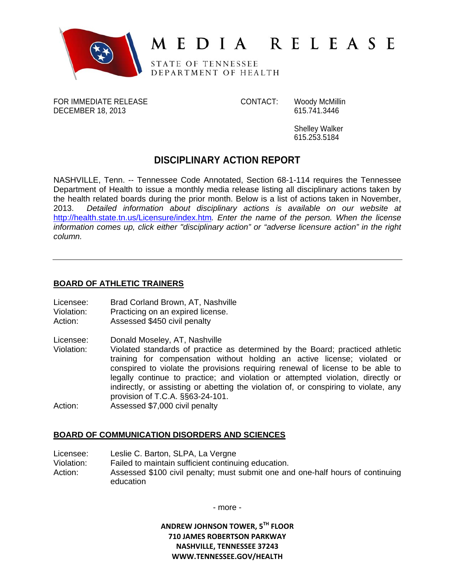

# MEDIA RELEASE

STATE OF TENNESSEE DEPARTMENT OF HEALTH

FOR IMMEDIATE RELEASE CONTACT: Woody McMillin DECEMBER 18, 2013 **615.741.3446** 

Shelley Walker 615.253.5184

## **DISCIPLINARY ACTION REPORT**

NASHVILLE, Tenn. -- Tennessee Code Annotated, Section 68-1-114 requires the Tennessee Department of Health to issue a monthly media release listing all disciplinary actions taken by the health related boards during the prior month. Below is a list of actions taken in November, 2013. *Detailed information about disciplinary actions is available on our website at*  http://health.state.tn.us/Licensure/index.htm*. Enter the name of the person. When the license information comes up, click either "disciplinary action" or "adverse licensure action" in the right column.* 

## **BOARD OF ATHLETIC TRAINERS**

- Licensee: Brad Corland Brown, AT, Nashville
- Violation: Practicing on an expired license.
- Action: Assessed \$450 civil penalty
- Licensee: Donald Moseley, AT, Nashville
- Violation: Violated standards of practice as determined by the Board; practiced athletic training for compensation without holding an active license; violated or conspired to violate the provisions requiring renewal of license to be able to legally continue to practice; and violation or attempted violation, directly or indirectly, or assisting or abetting the violation of, or conspiring to violate, any provision of T.C.A. §§63-24-101.
- Action: Assessed \$7,000 civil penalty

## **BOARD OF COMMUNICATION DISORDERS AND SCIENCES**

Licensee: Leslie C. Barton, SLPA, La Vergne

- Violation: Failed to maintain sufficient continuing education.
- Action: Assessed \$100 civil penalty; must submit one and one-half hours of continuing education

- more -

**ANDREW JOHNSON TOWER, 5TH FLOOR 710 JAMES ROBERTSON PARKWAY NASHVILLE, TENNESSEE 37243 WWW.TENNESSEE.GOV/HEALTH**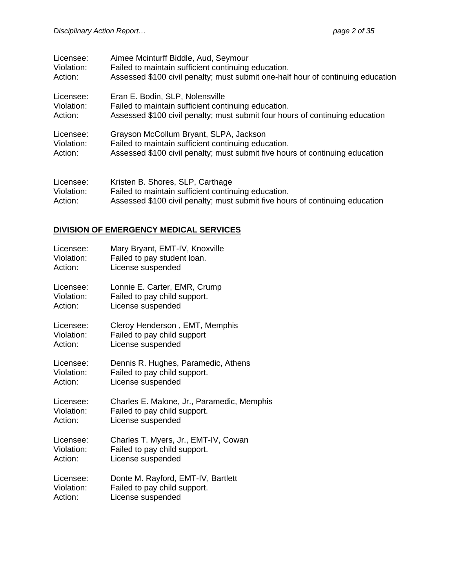| Licensee:                                                                                                                     | Aimee Mcinturff Biddle, Aud, Seymour                                            |
|-------------------------------------------------------------------------------------------------------------------------------|---------------------------------------------------------------------------------|
| Violation:                                                                                                                    | Failed to maintain sufficient continuing education.                             |
| Action:                                                                                                                       | Assessed \$100 civil penalty; must submit one-half hour of continuing education |
| Licensee:                                                                                                                     | Eran E. Bodin, SLP, Nolensville                                                 |
| Violation:                                                                                                                    | Failed to maintain sufficient continuing education.                             |
| Action:                                                                                                                       | Assessed \$100 civil penalty; must submit four hours of continuing education    |
| Licensee:                                                                                                                     | Grayson McCollum Bryant, SLPA, Jackson                                          |
| Violation:                                                                                                                    | Failed to maintain sufficient continuing education.                             |
| Action:                                                                                                                       | Assessed \$100 civil penalty; must submit five hours of continuing education    |
| Licensee:                                                                                                                     | Kristen B. Shores, SLP, Carthage                                                |
| $\frac{1}{2}$ $\frac{1}{2}$ $\frac{1}{2}$ $\frac{1}{2}$ $\frac{1}{2}$ $\frac{1}{2}$ $\frac{1}{2}$ $\frac{1}{2}$ $\frac{1}{2}$ | Falls dita periodelle puittoisent prontienimen politication                     |

Violation: Failed to maintain sufficient continuing education.<br>Action: Assessed \$100 civil penalty; must submit five hou Assessed \$100 civil penalty; must submit five hours of continuing education

## **DIVISION OF EMERGENCY MEDICAL SERVICES**

| Licensee:  | Mary Bryant, EMT-IV, Knoxville             |
|------------|--------------------------------------------|
| Violation: | Failed to pay student loan.                |
| Action:    | License suspended                          |
| Licensee:  | Lonnie E. Carter, EMR, Crump               |
| Violation: | Failed to pay child support.               |
| Action:    | License suspended                          |
| Licensee:  | Cleroy Henderson, EMT, Memphis             |
| Violation: | Failed to pay child support                |
| Action:    | License suspended                          |
| Licensee:  | Dennis R. Hughes, Paramedic, Athens        |
| Violation: | Failed to pay child support.               |
| Action:    | License suspended                          |
| Licensee:  | Charles E. Malone, Jr., Paramedic, Memphis |
| Violation: | Failed to pay child support.               |
| Action:    | License suspended                          |
| Licensee:  | Charles T. Myers, Jr., EMT-IV, Cowan       |
| Violation: | Failed to pay child support.               |
| Action:    | License suspended                          |
| Licensee:  | Donte M. Rayford, EMT-IV, Bartlett         |
| Violation: | Failed to pay child support.               |
| Action:    | License suspended                          |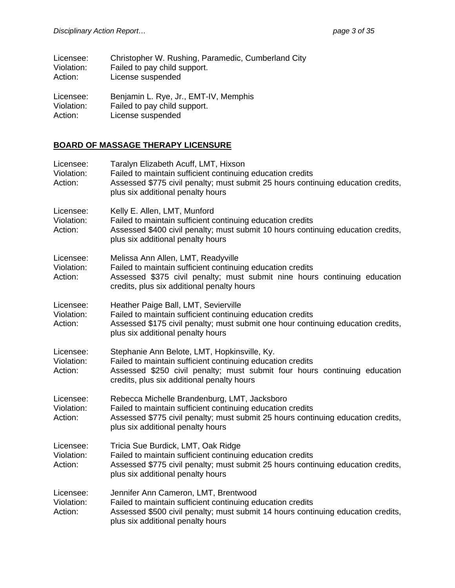| Licensee:    | Christopher W. Rushing, Paramedic, Cumberland City |
|--------------|----------------------------------------------------|
| Violation:   | Failed to pay child support.                       |
| Action:      | License suspended                                  |
| l icensee: I | Reniamin L Rye Jr FMT-IV Memphis                   |

Licensee: Benjamin L. Rye, Jr., EMT-IV, Memphis Violation: Failed to pay child support. Action: License suspended

## **BOARD OF MASSAGE THERAPY LICENSURE**

| Licensee:<br>Violation:<br>Action: | Taralyn Elizabeth Acuff, LMT, Hixson<br>Failed to maintain sufficient continuing education credits<br>Assessed \$775 civil penalty; must submit 25 hours continuing education credits,<br>plus six additional penalty hours           |
|------------------------------------|---------------------------------------------------------------------------------------------------------------------------------------------------------------------------------------------------------------------------------------|
| Licensee:<br>Violation:<br>Action: | Kelly E. Allen, LMT, Munford<br>Failed to maintain sufficient continuing education credits<br>Assessed \$400 civil penalty; must submit 10 hours continuing education credits,<br>plus six additional penalty hours                   |
| Licensee:<br>Violation:<br>Action: | Melissa Ann Allen, LMT, Readyville<br>Failed to maintain sufficient continuing education credits<br>Assessed \$375 civil penalty; must submit nine hours continuing education<br>credits, plus six additional penalty hours           |
| Licensee:<br>Violation:<br>Action: | Heather Paige Ball, LMT, Sevierville<br>Failed to maintain sufficient continuing education credits<br>Assessed \$175 civil penalty; must submit one hour continuing education credits,<br>plus six additional penalty hours           |
| Licensee:<br>Violation:<br>Action: | Stephanie Ann Belote, LMT, Hopkinsville, Ky.<br>Failed to maintain sufficient continuing education credits<br>Assessed \$250 civil penalty; must submit four hours continuing education<br>credits, plus six additional penalty hours |
| Licensee:<br>Violation:<br>Action: | Rebecca Michelle Brandenburg, LMT, Jacksboro<br>Failed to maintain sufficient continuing education credits<br>Assessed \$775 civil penalty; must submit 25 hours continuing education credits,<br>plus six additional penalty hours   |
| Licensee:<br>Violation:<br>Action: | Tricia Sue Burdick, LMT, Oak Ridge<br>Failed to maintain sufficient continuing education credits<br>Assessed \$775 civil penalty; must submit 25 hours continuing education credits,<br>plus six additional penalty hours             |
| Licensee:<br>Violation:<br>Action: | Jennifer Ann Cameron, LMT, Brentwood<br>Failed to maintain sufficient continuing education credits<br>Assessed \$500 civil penalty; must submit 14 hours continuing education credits,<br>plus six additional penalty hours           |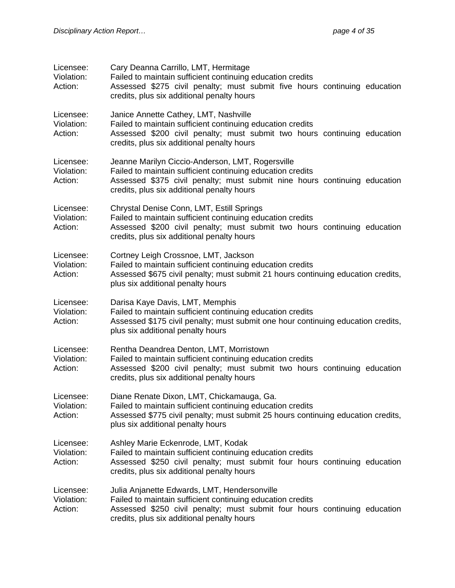| Licensee:<br>Violation:<br>Action: | Cary Deanna Carrillo, LMT, Hermitage<br>Failed to maintain sufficient continuing education credits<br>Assessed \$275 civil penalty; must submit five hours continuing education<br>credits, plus six additional penalty hours             |
|------------------------------------|-------------------------------------------------------------------------------------------------------------------------------------------------------------------------------------------------------------------------------------------|
| Licensee:<br>Violation:<br>Action: | Janice Annette Cathey, LMT, Nashville<br>Failed to maintain sufficient continuing education credits<br>Assessed \$200 civil penalty; must submit two hours continuing education<br>credits, plus six additional penalty hours             |
| Licensee:<br>Violation:<br>Action: | Jeanne Marilyn Ciccio-Anderson, LMT, Rogersville<br>Failed to maintain sufficient continuing education credits<br>Assessed \$375 civil penalty; must submit nine hours continuing education<br>credits, plus six additional penalty hours |
| Licensee:<br>Violation:<br>Action: | Chrystal Denise Conn, LMT, Estill Springs<br>Failed to maintain sufficient continuing education credits<br>Assessed \$200 civil penalty; must submit two hours continuing education<br>credits, plus six additional penalty hours         |
| Licensee:<br>Violation:<br>Action: | Cortney Leigh Crossnoe, LMT, Jackson<br>Failed to maintain sufficient continuing education credits<br>Assessed \$675 civil penalty; must submit 21 hours continuing education credits,<br>plus six additional penalty hours               |
| Licensee:<br>Violation:<br>Action: | Darisa Kaye Davis, LMT, Memphis<br>Failed to maintain sufficient continuing education credits<br>Assessed \$175 civil penalty; must submit one hour continuing education credits,<br>plus six additional penalty hours                    |
| Licensee:<br>Violation:<br>Action: | Rentha Deandrea Denton, LMT, Morristown<br>Failed to maintain sufficient continuing education credits<br>Assessed \$200 civil penalty; must submit two hours continuing education<br>credits, plus six additional penalty hours           |
| Licensee:<br>Violation:<br>Action: | Diane Renate Dixon, LMT, Chickamauga, Ga.<br>Failed to maintain sufficient continuing education credits<br>Assessed \$775 civil penalty; must submit 25 hours continuing education credits,<br>plus six additional penalty hours          |
| Licensee:<br>Violation:<br>Action: | Ashley Marie Eckenrode, LMT, Kodak<br>Failed to maintain sufficient continuing education credits<br>Assessed \$250 civil penalty; must submit four hours continuing education<br>credits, plus six additional penalty hours               |
| Licensee:<br>Violation:<br>Action: | Julia Anjanette Edwards, LMT, Hendersonville<br>Failed to maintain sufficient continuing education credits<br>Assessed \$250 civil penalty; must submit four hours continuing education<br>credits, plus six additional penalty hours     |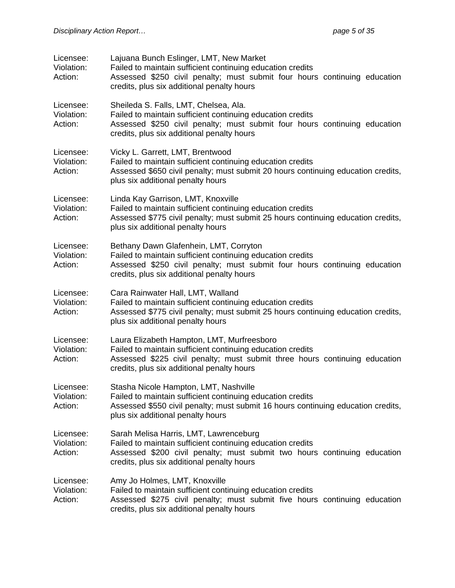| Licensee:<br>Violation:<br>Action: | Lajuana Bunch Eslinger, LMT, New Market<br>Failed to maintain sufficient continuing education credits<br>Assessed \$250 civil penalty; must submit four hours continuing education<br>credits, plus six additional penalty hours     |
|------------------------------------|--------------------------------------------------------------------------------------------------------------------------------------------------------------------------------------------------------------------------------------|
| Licensee:<br>Violation:<br>Action: | Sheileda S. Falls, LMT, Chelsea, Ala.<br>Failed to maintain sufficient continuing education credits<br>Assessed \$250 civil penalty; must submit four hours continuing education<br>credits, plus six additional penalty hours       |
| Licensee:<br>Violation:<br>Action: | Vicky L. Garrett, LMT, Brentwood<br>Failed to maintain sufficient continuing education credits<br>Assessed \$650 civil penalty; must submit 20 hours continuing education credits,<br>plus six additional penalty hours              |
| Licensee:<br>Violation:<br>Action: | Linda Kay Garrison, LMT, Knoxville<br>Failed to maintain sufficient continuing education credits<br>Assessed \$775 civil penalty; must submit 25 hours continuing education credits,<br>plus six additional penalty hours            |
| Licensee:<br>Violation:<br>Action: | Bethany Dawn Glafenhein, LMT, Corryton<br>Failed to maintain sufficient continuing education credits<br>Assessed \$250 civil penalty; must submit four hours continuing education<br>credits, plus six additional penalty hours      |
| Licensee:<br>Violation:<br>Action: | Cara Rainwater Hall, LMT, Walland<br>Failed to maintain sufficient continuing education credits<br>Assessed \$775 civil penalty; must submit 25 hours continuing education credits,<br>plus six additional penalty hours             |
| Licensee:<br>Violation:<br>Action: | Laura Elizabeth Hampton, LMT, Murfreesboro<br>Failed to maintain sufficient continuing education credits<br>Assessed \$225 civil penalty; must submit three hours continuing education<br>credits, plus six additional penalty hours |
| Licensee:<br>Violation:<br>Action: | Stasha Nicole Hampton, LMT, Nashville<br>Failed to maintain sufficient continuing education credits<br>Assessed \$550 civil penalty; must submit 16 hours continuing education credits,<br>plus six additional penalty hours         |
| Licensee:<br>Violation:<br>Action: | Sarah Melisa Harris, LMT, Lawrenceburg<br>Failed to maintain sufficient continuing education credits<br>Assessed \$200 civil penalty; must submit two hours continuing education<br>credits, plus six additional penalty hours       |
| Licensee:<br>Violation:<br>Action: | Amy Jo Holmes, LMT, Knoxville<br>Failed to maintain sufficient continuing education credits<br>Assessed \$275 civil penalty; must submit five hours continuing education<br>credits, plus six additional penalty hours               |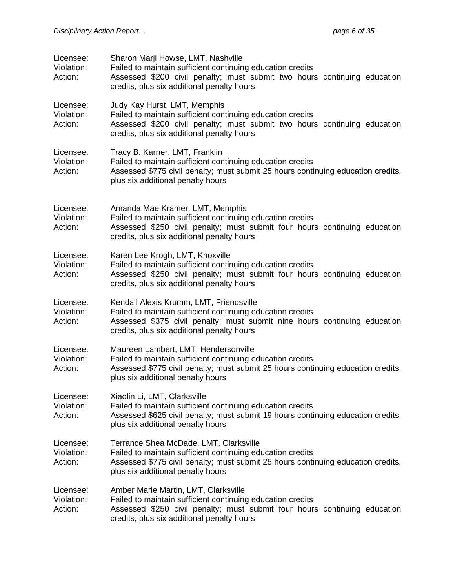| Licensee:<br>Violation:<br>Action: | Sharon Marji Howse, LMT, Nashville<br>Failed to maintain sufficient continuing education credits<br>Assessed \$200 civil penalty; must submit two hours continuing education<br>credits, plus six additional penalty hours       |
|------------------------------------|----------------------------------------------------------------------------------------------------------------------------------------------------------------------------------------------------------------------------------|
| Licensee:<br>Violation:<br>Action: | Judy Kay Hurst, LMT, Memphis<br>Failed to maintain sufficient continuing education credits<br>Assessed \$200 civil penalty; must submit two hours continuing education<br>credits, plus six additional penalty hours             |
| Licensee:<br>Violation:<br>Action: | Tracy B. Karner, LMT, Franklin<br>Failed to maintain sufficient continuing education credits<br>Assessed \$775 civil penalty; must submit 25 hours continuing education credits,<br>plus six additional penalty hours            |
| Licensee:<br>Violation:<br>Action: | Amanda Mae Kramer, LMT, Memphis<br>Failed to maintain sufficient continuing education credits<br>Assessed \$250 civil penalty; must submit four hours continuing education<br>credits, plus six additional penalty hours         |
| Licensee:<br>Violation:<br>Action: | Karen Lee Krogh, LMT, Knoxville<br>Failed to maintain sufficient continuing education credits<br>Assessed \$250 civil penalty; must submit four hours continuing education<br>credits, plus six additional penalty hours         |
| Licensee:<br>Violation:<br>Action: | Kendall Alexis Krumm, LMT, Friendsville<br>Failed to maintain sufficient continuing education credits<br>Assessed \$375 civil penalty; must submit nine hours continuing education<br>credits, plus six additional penalty hours |
| Licensee:<br>Violation:<br>Action: | Maureen Lambert, LMT, Hendersonville<br>Failed to maintain sufficient continuing education credits<br>Assessed \$775 civil penalty; must submit 25 hours continuing education credits,<br>plus six additional penalty hours      |
| Licensee:<br>Violation:<br>Action: | Xiaolin Li, LMT, Clarksville<br>Failed to maintain sufficient continuing education credits<br>Assessed \$625 civil penalty; must submit 19 hours continuing education credits,<br>plus six additional penalty hours              |
| Licensee:<br>Violation:<br>Action: | Terrance Shea McDade, LMT, Clarksville<br>Failed to maintain sufficient continuing education credits<br>Assessed \$775 civil penalty; must submit 25 hours continuing education credits,<br>plus six additional penalty hours    |
| Licensee:<br>Violation:<br>Action: | Amber Marie Martin, LMT, Clarksville<br>Failed to maintain sufficient continuing education credits<br>Assessed \$250 civil penalty; must submit four hours continuing education<br>credits, plus six additional penalty hours    |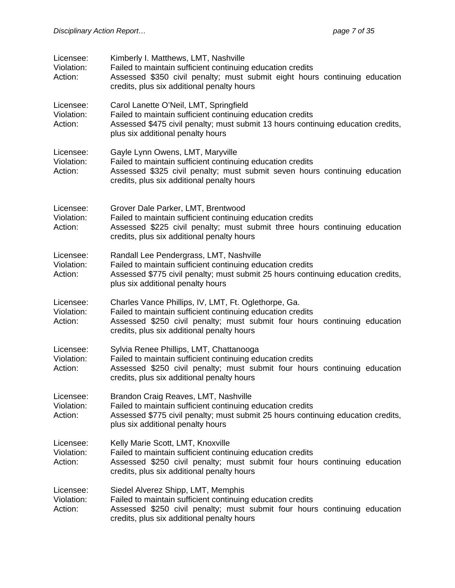| Licensee:<br>Violation:<br>Action: | Kimberly I. Matthews, LMT, Nashville<br>Failed to maintain sufficient continuing education credits<br>Assessed \$350 civil penalty; must submit eight hours continuing education<br>credits, plus six additional penalty hours                |
|------------------------------------|-----------------------------------------------------------------------------------------------------------------------------------------------------------------------------------------------------------------------------------------------|
| Licensee:<br>Violation:<br>Action: | Carol Lanette O'Neil, LMT, Springfield<br>Failed to maintain sufficient continuing education credits<br>Assessed \$475 civil penalty; must submit 13 hours continuing education credits,<br>plus six additional penalty hours                 |
| Licensee:<br>Violation:<br>Action: | Gayle Lynn Owens, LMT, Maryville<br>Failed to maintain sufficient continuing education credits<br>Assessed \$325 civil penalty; must submit seven hours continuing education<br>credits, plus six additional penalty hours                    |
| Licensee:<br>Violation:<br>Action: | Grover Dale Parker, LMT, Brentwood<br>Failed to maintain sufficient continuing education credits<br>Assessed \$225 civil penalty; must submit three hours continuing education<br>credits, plus six additional penalty hours                  |
| Licensee:<br>Violation:<br>Action: | Randall Lee Pendergrass, LMT, Nashville<br>Failed to maintain sufficient continuing education credits<br>Assessed \$775 civil penalty; must submit 25 hours continuing education credits,<br>plus six additional penalty hours                |
| Licensee:<br>Violation:<br>Action: | Charles Vance Phillips, IV, LMT, Ft. Oglethorpe, Ga.<br>Failed to maintain sufficient continuing education credits<br>Assessed \$250 civil penalty; must submit four hours continuing education<br>credits, plus six additional penalty hours |
| Licensee:<br>Violation:<br>Action: | Sylvia Renee Phillips, LMT, Chattanooga<br>Failed to maintain sufficient continuing education credits<br>Assessed \$250 civil penalty; must submit four hours continuing education<br>credits, plus six additional penalty hours              |
| Licensee:<br>Violation:<br>Action: | Brandon Craig Reaves, LMT, Nashville<br>Failed to maintain sufficient continuing education credits<br>Assessed \$775 civil penalty; must submit 25 hours continuing education credits,<br>plus six additional penalty hours                   |
| Licensee:<br>Violation:<br>Action: | Kelly Marie Scott, LMT, Knoxville<br>Failed to maintain sufficient continuing education credits<br>Assessed \$250 civil penalty; must submit four hours continuing education<br>credits, plus six additional penalty hours                    |
| Licensee:<br>Violation:<br>Action: | Siedel Alverez Shipp, LMT, Memphis<br>Failed to maintain sufficient continuing education credits<br>Assessed \$250 civil penalty; must submit four hours continuing education<br>credits, plus six additional penalty hours                   |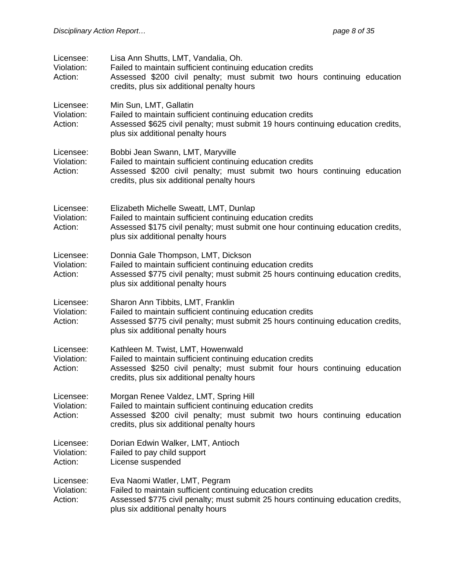| Licensee:<br>Violation:<br>Action: | Lisa Ann Shutts, LMT, Vandalia, Oh.<br>Failed to maintain sufficient continuing education credits<br>Assessed \$200 civil penalty; must submit two hours continuing education<br>credits, plus six additional penalty hours   |
|------------------------------------|-------------------------------------------------------------------------------------------------------------------------------------------------------------------------------------------------------------------------------|
| Licensee:<br>Violation:<br>Action: | Min Sun, LMT, Gallatin<br>Failed to maintain sufficient continuing education credits<br>Assessed \$625 civil penalty; must submit 19 hours continuing education credits,<br>plus six additional penalty hours                 |
| Licensee:<br>Violation:<br>Action: | Bobbi Jean Swann, LMT, Maryville<br>Failed to maintain sufficient continuing education credits<br>Assessed \$200 civil penalty; must submit two hours continuing education<br>credits, plus six additional penalty hours      |
| Licensee:<br>Violation:<br>Action: | Elizabeth Michelle Sweatt, LMT, Dunlap<br>Failed to maintain sufficient continuing education credits<br>Assessed \$175 civil penalty; must submit one hour continuing education credits,<br>plus six additional penalty hours |
| Licensee:<br>Violation:<br>Action: | Donnia Gale Thompson, LMT, Dickson<br>Failed to maintain sufficient continuing education credits<br>Assessed \$775 civil penalty; must submit 25 hours continuing education credits,<br>plus six additional penalty hours     |
| Licensee:<br>Violation:<br>Action: | Sharon Ann Tibbits, LMT, Franklin<br>Failed to maintain sufficient continuing education credits<br>Assessed \$775 civil penalty; must submit 25 hours continuing education credits,<br>plus six additional penalty hours      |
| Licensee:<br>Violation:<br>Action: | Kathleen M. Twist, LMT, Howenwald<br>Failed to maintain sufficient continuing education credits<br>Assessed \$250 civil penalty; must submit four hours continuing education<br>credits, plus six additional penalty hours    |
| Licensee:<br>Violation:<br>Action: | Morgan Renee Valdez, LMT, Spring Hill<br>Failed to maintain sufficient continuing education credits<br>Assessed \$200 civil penalty; must submit two hours continuing education<br>credits, plus six additional penalty hours |
| Licensee:<br>Violation:<br>Action: | Dorian Edwin Walker, LMT, Antioch<br>Failed to pay child support<br>License suspended                                                                                                                                         |
| Licensee:<br>Violation:<br>Action: | Eva Naomi Watler, LMT, Pegram<br>Failed to maintain sufficient continuing education credits<br>Assessed \$775 civil penalty; must submit 25 hours continuing education credits,<br>plus six additional penalty hours          |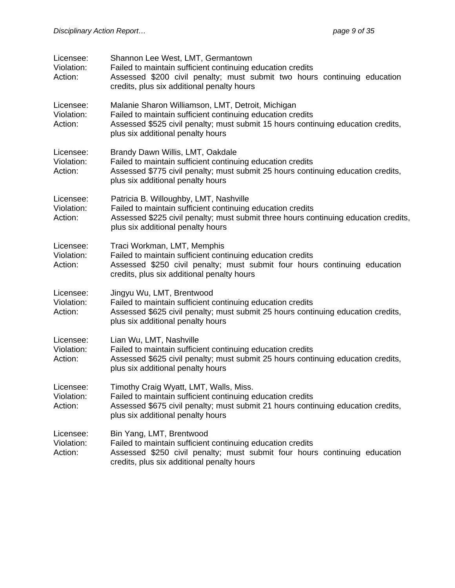| Licensee:<br>Violation:<br>Action: | Shannon Lee West, LMT, Germantown<br>Failed to maintain sufficient continuing education credits<br>Assessed \$200 civil penalty; must submit two hours continuing education<br>credits, plus six additional penalty hours                |
|------------------------------------|------------------------------------------------------------------------------------------------------------------------------------------------------------------------------------------------------------------------------------------|
| Licensee:<br>Violation:<br>Action: | Malanie Sharon Williamson, LMT, Detroit, Michigan<br>Failed to maintain sufficient continuing education credits<br>Assessed \$525 civil penalty; must submit 15 hours continuing education credits,<br>plus six additional penalty hours |
| Licensee:<br>Violation:<br>Action: | Brandy Dawn Willis, LMT, Oakdale<br>Failed to maintain sufficient continuing education credits<br>Assessed \$775 civil penalty; must submit 25 hours continuing education credits,<br>plus six additional penalty hours                  |
| Licensee:<br>Violation:<br>Action: | Patricia B. Willoughby, LMT, Nashville<br>Failed to maintain sufficient continuing education credits<br>Assessed \$225 civil penalty; must submit three hours continuing education credits,<br>plus six additional penalty hours         |
| Licensee:<br>Violation:<br>Action: | Traci Workman, LMT, Memphis<br>Failed to maintain sufficient continuing education credits<br>Assessed \$250 civil penalty; must submit four hours continuing education<br>credits, plus six additional penalty hours                     |
| Licensee:<br>Violation:<br>Action: | Jingyu Wu, LMT, Brentwood<br>Failed to maintain sufficient continuing education credits<br>Assessed \$625 civil penalty; must submit 25 hours continuing education credits,<br>plus six additional penalty hours                         |
| Licensee:<br>Violation:<br>Action: | Lian Wu, LMT, Nashville<br>Failed to maintain sufficient continuing education credits<br>Assessed \$625 civil penalty; must submit 25 hours continuing education credits,<br>plus six additional penalty hours                           |
| Licensee:<br>Violation:<br>Action: | Timothy Craig Wyatt, LMT, Walls, Miss.<br>Failed to maintain sufficient continuing education credits<br>Assessed \$675 civil penalty; must submit 21 hours continuing education credits,<br>plus six additional penalty hours            |
| Licensee:<br>Violation:<br>Action: | Bin Yang, LMT, Brentwood<br>Failed to maintain sufficient continuing education credits<br>Assessed \$250 civil penalty; must submit four hours continuing education<br>credits, plus six additional penalty hours                        |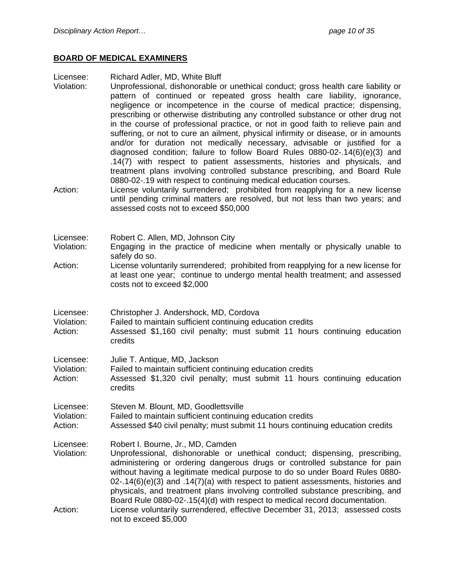#### **BOARD OF MEDICAL EXAMINERS**

Licensee: Richard Adler, MD, White Bluff

- Violation: Unprofessional, dishonorable or unethical conduct; gross health care liability or pattern of continued or repeated gross health care liability, ignorance, negligence or incompetence in the course of medical practice; dispensing, prescribing or otherwise distributing any controlled substance or other drug not in the course of professional practice, or not in good faith to relieve pain and suffering, or not to cure an ailment, physical infirmity or disease, or in amounts and/or for duration not medically necessary, advisable or justified for a diagnosed condition; failure to follow Board Rules 0880-02-.14(6)(e)(3) and .14(7) with respect to patient assessments, histories and physicals, and treatment plans involving controlled substance prescribing, and Board Rule 0880-02-.19 with respect to continuing medical education courses.
- Action: License voluntarily surrendered; prohibited from reapplying for a new license until pending criminal matters are resolved, but not less than two years; and assessed costs not to exceed \$50,000

| Licensee:  | Robert C. Allen, MD, Johnson City                                                           |
|------------|---------------------------------------------------------------------------------------------|
| Violation: | Engaging in the practice of medicine when mentally or physically unable to<br>safely do so. |
| Action:    | License voluntarily surrendered: prohibited from reapplying for a new license for           |

- Action: License voluntarily surrendered; prohibited from reapplying for a new license for at least one year; continue to undergo mental health treatment; and assessed costs not to exceed \$2,000
- Licensee: Christopher J. Andershock, MD, Cordova

Violation: Failed to maintain sufficient continuing education credits

- Action: Assessed \$1,160 civil penalty; must submit 11 hours continuing education credits
- Licensee: Julie T. Antique, MD, Jackson
- Violation: Failed to maintain sufficient continuing education credits
- Action: Assessed \$1,320 civil penalty; must submit 11 hours continuing education credits
- Licensee: Steven M. Blount, MD, Goodlettsville
- Violation: Failed to maintain sufficient continuing education credits
- Action: Assessed \$40 civil penalty; must submit 11 hours continuing education credits
- Licensee: Robert I. Bourne, Jr., MD, Camden
- Violation: Unprofessional, dishonorable or unethical conduct; dispensing, prescribing, administering or ordering dangerous drugs or controlled substance for pain without having a legitimate medical purpose to do so under Board Rules 0880- 02-.14(6)(e)(3) and .14(7)(a) with respect to patient assessments, histories and physicals, and treatment plans involving controlled substance prescribing, and Board Rule 0880-02-.15(4)(d) with respect to medical record documentation. Action: License voluntarily surrendered, effective December 31, 2013; assessed costs not to exceed \$5,000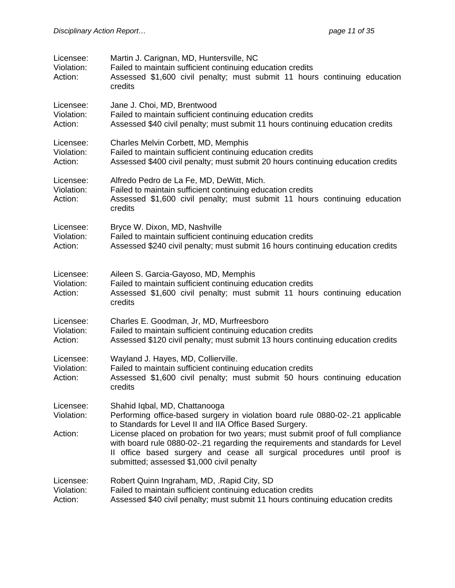| Licensee:<br>Violation:<br>Action: | Martin J. Carignan, MD, Huntersville, NC<br>Failed to maintain sufficient continuing education credits<br>Assessed \$1,600 civil penalty; must submit 11 hours continuing education<br>credits                                                                                             |
|------------------------------------|--------------------------------------------------------------------------------------------------------------------------------------------------------------------------------------------------------------------------------------------------------------------------------------------|
| Licensee:<br>Violation:<br>Action: | Jane J. Choi, MD, Brentwood<br>Failed to maintain sufficient continuing education credits<br>Assessed \$40 civil penalty; must submit 11 hours continuing education credits                                                                                                                |
| Licensee:<br>Violation:<br>Action: | Charles Melvin Corbett, MD, Memphis<br>Failed to maintain sufficient continuing education credits<br>Assessed \$400 civil penalty; must submit 20 hours continuing education credits                                                                                                       |
| Licensee:<br>Violation:<br>Action: | Alfredo Pedro de La Fe, MD, DeWitt, Mich.<br>Failed to maintain sufficient continuing education credits<br>Assessed \$1,600 civil penalty; must submit 11 hours continuing education<br>credits                                                                                            |
| Licensee:<br>Violation:<br>Action: | Bryce W. Dixon, MD, Nashville<br>Failed to maintain sufficient continuing education credits<br>Assessed \$240 civil penalty; must submit 16 hours continuing education credits                                                                                                             |
| Licensee:<br>Violation:<br>Action: | Aileen S. Garcia-Gayoso, MD, Memphis<br>Failed to maintain sufficient continuing education credits<br>Assessed \$1,600 civil penalty; must submit 11 hours continuing education<br>credits                                                                                                 |
| Licensee:<br>Violation:<br>Action: | Charles E. Goodman, Jr, MD, Murfreesboro<br>Failed to maintain sufficient continuing education credits<br>Assessed \$120 civil penalty; must submit 13 hours continuing education credits                                                                                                  |
| Licensee:<br>Violation:<br>Action: | Wayland J. Hayes, MD, Collierville.<br>Failed to maintain sufficient continuing education credits<br>Assessed \$1,600 civil penalty; must submit 50 hours continuing education<br>credits                                                                                                  |
| Licensee:<br>Violation:            | Shahid Iqbal, MD, Chattanooga<br>Performing office-based surgery in violation board rule 0880-02-.21 applicable<br>to Standards for Level II and IIA Office Based Surgery.                                                                                                                 |
| Action:                            | License placed on probation for two years; must submit proof of full compliance<br>with board rule 0880-02-.21 regarding the requirements and standards for Level<br>Il office based surgery and cease all surgical procedures until proof is<br>submitted; assessed \$1,000 civil penalty |
| Licensee:<br>Violation:<br>Action: | Robert Quinn Ingraham, MD, .Rapid City, SD<br>Failed to maintain sufficient continuing education credits<br>Assessed \$40 civil penalty; must submit 11 hours continuing education credits                                                                                                 |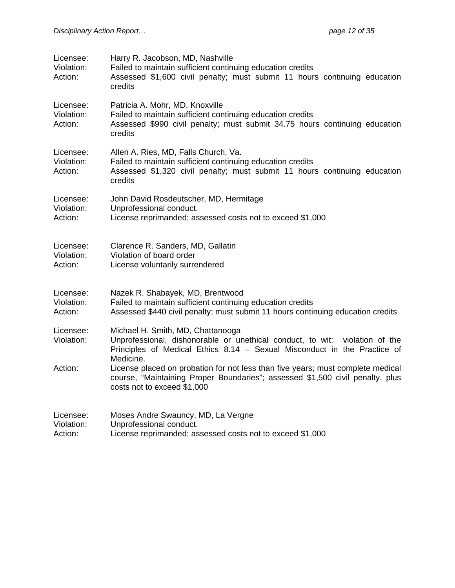| Licensee:<br>Violation:<br>Action: | Harry R. Jacobson, MD, Nashville<br>Failed to maintain sufficient continuing education credits<br>Assessed \$1,600 civil penalty; must submit 11 hours continuing education<br>credits                       |
|------------------------------------|--------------------------------------------------------------------------------------------------------------------------------------------------------------------------------------------------------------|
| Licensee:<br>Violation:<br>Action: | Patricia A. Mohr, MD, Knoxville<br>Failed to maintain sufficient continuing education credits<br>Assessed \$990 civil penalty; must submit 34.75 hours continuing education<br>credits                       |
| Licensee:<br>Violation:<br>Action: | Allen A. Ries, MD, Falls Church, Va.<br>Failed to maintain sufficient continuing education credits<br>Assessed \$1,320 civil penalty; must submit 11 hours continuing education<br>credits                   |
| Licensee:<br>Violation:<br>Action: | John David Rosdeutscher, MD, Hermitage<br>Unprofessional conduct.<br>License reprimanded; assessed costs not to exceed \$1,000                                                                               |
| Licensee:<br>Violation:<br>Action: | Clarence R. Sanders, MD, Gallatin<br>Violation of board order<br>License voluntarily surrendered                                                                                                             |
| Licensee:<br>Violation:<br>Action: | Nazek R. Shabayek, MD, Brentwood<br>Failed to maintain sufficient continuing education credits<br>Assessed \$440 civil penalty; must submit 11 hours continuing education credits                            |
| Licensee:<br>Violation:            | Michael H. Smith, MD, Chattanooga<br>Unprofessional, dishonorable or unethical conduct, to wit:<br>violation of the<br>Principles of Medical Ethics 8.14 - Sexual Misconduct in the Practice of<br>Medicine. |
| Action:                            | License placed on probation for not less than five years; must complete medical<br>course, "Maintaining Proper Boundaries"; assessed \$1,500 civil penalty, plus<br>costs not to exceed \$1,000              |
| Licensee:<br>Violation:<br>Action: | Moses Andre Swauncy, MD, La Vergne<br>Unprofessional conduct.<br>License reprimanded; assessed costs not to exceed \$1,000                                                                                   |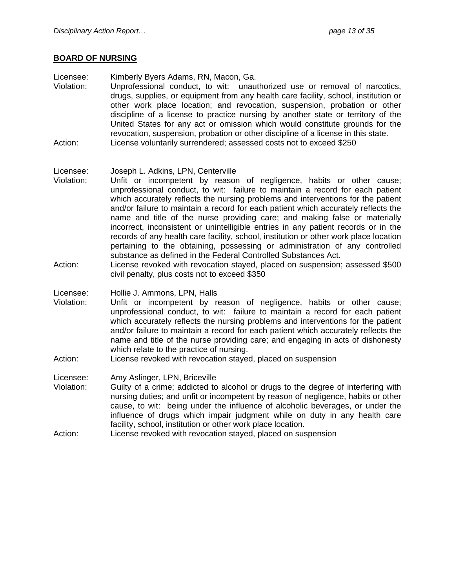#### **BOARD OF NURSING**

Licensee: Kimberly Byers Adams, RN, Macon, Ga.

Violation: Unprofessional conduct, to wit: unauthorized use or removal of narcotics, drugs, supplies, or equipment from any health care facility, school, institution or other work place location; and revocation, suspension, probation or other discipline of a license to practice nursing by another state or territory of the United States for any act or omission which would constitute grounds for the revocation, suspension, probation or other discipline of a license in this state. Action: License voluntarily surrendered; assessed costs not to exceed \$250

#### Licensee: Joseph L. Adkins, LPN, Centerville

- Violation: Unfit or incompetent by reason of negligence, habits or other cause; unprofessional conduct, to wit: failure to maintain a record for each patient which accurately reflects the nursing problems and interventions for the patient and/or failure to maintain a record for each patient which accurately reflects the name and title of the nurse providing care; and making false or materially incorrect, inconsistent or unintelligible entries in any patient records or in the records of any health care facility, school, institution or other work place location pertaining to the obtaining, possessing or administration of any controlled substance as defined in the Federal Controlled Substances Act.
- Action: License revoked with revocation stayed, placed on suspension; assessed \$500 civil penalty, plus costs not to exceed \$350

Licensee: Hollie J. Ammons, LPN, Halls

- Violation: Unfit or incompetent by reason of negligence, habits or other cause; unprofessional conduct, to wit: failure to maintain a record for each patient which accurately reflects the nursing problems and interventions for the patient and/or failure to maintain a record for each patient which accurately reflects the name and title of the nurse providing care; and engaging in acts of dishonesty which relate to the practice of nursing.
- Action: License revoked with revocation stayed, placed on suspension

Licensee: Amy Aslinger, LPN, Briceville

- Violation: Guilty of a crime; addicted to alcohol or drugs to the degree of interfering with nursing duties; and unfit or incompetent by reason of negligence, habits or other cause, to wit: being under the influence of alcoholic beverages, or under the influence of drugs which impair judgment while on duty in any health care facility, school, institution or other work place location.
- Action: License revoked with revocation stayed, placed on suspension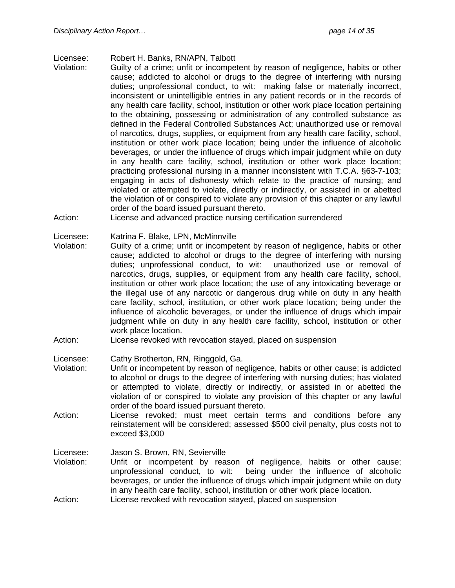- Licensee: Robert H. Banks, RN/APN, Talbott
- Violation: Guilty of a crime; unfit or incompetent by reason of negligence, habits or other cause; addicted to alcohol or drugs to the degree of interfering with nursing duties; unprofessional conduct, to wit: making false or materially incorrect, inconsistent or unintelligible entries in any patient records or in the records of any health care facility, school, institution or other work place location pertaining to the obtaining, possessing or administration of any controlled substance as defined in the Federal Controlled Substances Act; unauthorized use or removal of narcotics, drugs, supplies, or equipment from any health care facility, school, institution or other work place location; being under the influence of alcoholic beverages, or under the influence of drugs which impair judgment while on duty in any health care facility, school, institution or other work place location; practicing professional nursing in a manner inconsistent with T.C.A. §63-7-103; engaging in acts of dishonesty which relate to the practice of nursing; and violated or attempted to violate, directly or indirectly, or assisted in or abetted the violation of or conspired to violate any provision of this chapter or any lawful order of the board issued pursuant thereto.
- Action: License and advanced practice nursing certification surrendered

Licensee: Katrina F. Blake, LPN, McMinnville

- Violation: Guilty of a crime; unfit or incompetent by reason of negligence, habits or other cause; addicted to alcohol or drugs to the degree of interfering with nursing duties; unprofessional conduct, to wit: unauthorized use or removal of narcotics, drugs, supplies, or equipment from any health care facility, school, institution or other work place location; the use of any intoxicating beverage or the illegal use of any narcotic or dangerous drug while on duty in any health care facility, school, institution, or other work place location; being under the influence of alcoholic beverages, or under the influence of drugs which impair judgment while on duty in any health care facility, school, institution or other work place location.
- Action: License revoked with revocation stayed, placed on suspension

Licensee: Cathy Brotherton, RN, Ringgold, Ga.

- Violation: Unfit or incompetent by reason of negligence, habits or other cause; is addicted to alcohol or drugs to the degree of interfering with nursing duties; has violated or attempted to violate, directly or indirectly, or assisted in or abetted the violation of or conspired to violate any provision of this chapter or any lawful order of the board issued pursuant thereto.
- Action: License revoked; must meet certain terms and conditions before any reinstatement will be considered; assessed \$500 civil penalty, plus costs not to exceed \$3,000

Licensee: Jason S. Brown, RN, Sevierville

Violation: Unfit or incompetent by reason of negligence, habits or other cause; unprofessional conduct, to wit: being under the influence of alcoholic beverages, or under the influence of drugs which impair judgment while on duty in any health care facility, school, institution or other work place location. Action: License revoked with revocation stayed, placed on suspension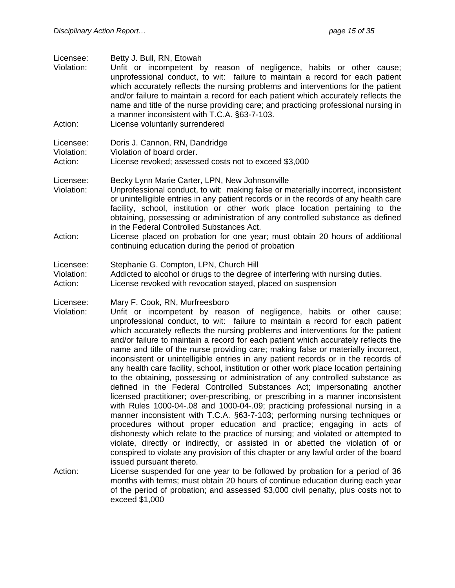Licensee: Betty J. Bull, RN, Etowah

- Violation: Unfit or incompetent by reason of negligence, habits or other cause; unprofessional conduct, to wit: failure to maintain a record for each patient which accurately reflects the nursing problems and interventions for the patient and/or failure to maintain a record for each patient which accurately reflects the name and title of the nurse providing care; and practicing professional nursing in a manner inconsistent with T.C.A. §63-7-103.
- Action: License voluntarily surrendered

- Licensee: Becky Lynn Marie Carter, LPN, New Johnsonville Violation: Unprofessional conduct, to wit: making false or materially incorrect, inconsistent or unintelligible entries in any patient records or in the records of any health care facility, school, institution or other work place location pertaining to the obtaining, possessing or administration of any controlled substance as defined in the Federal Controlled Substances Act.
- Action: License placed on probation for one year; must obtain 20 hours of additional continuing education during the period of probation
- Licensee: Stephanie G. Compton, LPN, Church Hill
- Violation: Addicted to alcohol or drugs to the degree of interfering with nursing duties.
- Action: License revoked with revocation stayed, placed on suspension
- Licensee: Mary F. Cook, RN, Murfreesboro
- Violation: Unfit or incompetent by reason of negligence, habits or other cause; unprofessional conduct, to wit: failure to maintain a record for each patient which accurately reflects the nursing problems and interventions for the patient and/or failure to maintain a record for each patient which accurately reflects the name and title of the nurse providing care; making false or materially incorrect, inconsistent or unintelligible entries in any patient records or in the records of any health care facility, school, institution or other work place location pertaining to the obtaining, possessing or administration of any controlled substance as defined in the Federal Controlled Substances Act; impersonating another licensed practitioner; over-prescribing, or prescribing in a manner inconsistent with Rules 1000-04-.08 and 1000-04-.09; practicing professional nursing in a manner inconsistent with T.C.A. §63-7-103; performing nursing techniques or procedures without proper education and practice; engaging in acts of dishonesty which relate to the practice of nursing; and violated or attempted to violate, directly or indirectly, or assisted in or abetted the violation of or conspired to violate any provision of this chapter or any lawful order of the board issued pursuant thereto.
- Action: License suspended for one year to be followed by probation for a period of 36 months with terms; must obtain 20 hours of continue education during each year of the period of probation; and assessed \$3,000 civil penalty, plus costs not to exceed \$1,000

Licensee: Doris J. Cannon, RN, Dandridge

Violation: Violation of board order.

Action: License revoked; assessed costs not to exceed \$3,000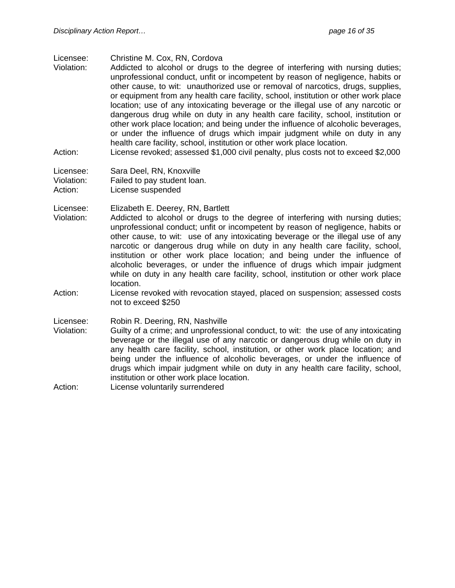#### Licensee: Christine M. Cox, RN, Cordova

- Violation: Addicted to alcohol or drugs to the degree of interfering with nursing duties; unprofessional conduct, unfit or incompetent by reason of negligence, habits or other cause, to wit: unauthorized use or removal of narcotics, drugs, supplies, or equipment from any health care facility, school, institution or other work place location; use of any intoxicating beverage or the illegal use of any narcotic or dangerous drug while on duty in any health care facility, school, institution or other work place location; and being under the influence of alcoholic beverages, or under the influence of drugs which impair judgment while on duty in any health care facility, school, institution or other work place location.
- Action: License revoked; assessed \$1,000 civil penalty, plus costs not to exceed \$2,000
- Licensee: Sara Deel, RN, Knoxville
- Violation: Failed to pay student loan.
- Action: License suspended

Licensee: Elizabeth E. Deerey, RN, Bartlett

- Violation: Addicted to alcohol or drugs to the degree of interfering with nursing duties; unprofessional conduct; unfit or incompetent by reason of negligence, habits or other cause, to wit: use of any intoxicating beverage or the illegal use of any narcotic or dangerous drug while on duty in any health care facility, school, institution or other work place location; and being under the influence of alcoholic beverages, or under the influence of drugs which impair judgment while on duty in any health care facility, school, institution or other work place location.
- Action: License revoked with revocation stayed, placed on suspension; assessed costs not to exceed \$250

Licensee: Robin R. Deering, RN, Nashville

Violation: Guilty of a crime; and unprofessional conduct, to wit: the use of any intoxicating beverage or the illegal use of any narcotic or dangerous drug while on duty in any health care facility, school, institution, or other work place location; and being under the influence of alcoholic beverages, or under the influence of drugs which impair judgment while on duty in any health care facility, school, institution or other work place location.

Action: License voluntarily surrendered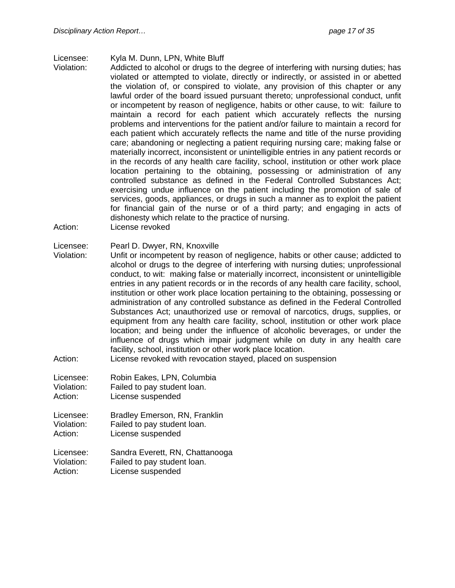#### Licensee: Kyla M. Dunn, LPN, White Bluff

- Violation: Addicted to alcohol or drugs to the degree of interfering with nursing duties; has violated or attempted to violate, directly or indirectly, or assisted in or abetted the violation of, or conspired to violate, any provision of this chapter or any lawful order of the board issued pursuant thereto; unprofessional conduct, unfit or incompetent by reason of negligence, habits or other cause, to wit: failure to maintain a record for each patient which accurately reflects the nursing problems and interventions for the patient and/or failure to maintain a record for each patient which accurately reflects the name and title of the nurse providing care; abandoning or neglecting a patient requiring nursing care; making false or materially incorrect, inconsistent or unintelligible entries in any patient records or in the records of any health care facility, school, institution or other work place location pertaining to the obtaining, possessing or administration of any controlled substance as defined in the Federal Controlled Substances Act; exercising undue influence on the patient including the promotion of sale of services, goods, appliances, or drugs in such a manner as to exploit the patient for financial gain of the nurse or of a third party; and engaging in acts of dishonesty which relate to the practice of nursing.
- Action: License revoked

#### Licensee: Pearl D. Dwyer, RN, Knoxville

- Violation: Unfit or incompetent by reason of negligence, habits or other cause; addicted to alcohol or drugs to the degree of interfering with nursing duties; unprofessional conduct, to wit: making false or materially incorrect, inconsistent or unintelligible entries in any patient records or in the records of any health care facility, school, institution or other work place location pertaining to the obtaining, possessing or administration of any controlled substance as defined in the Federal Controlled Substances Act; unauthorized use or removal of narcotics, drugs, supplies, or equipment from any health care facility, school, institution or other work place location; and being under the influence of alcoholic beverages, or under the influence of drugs which impair judgment while on duty in any health care facility, school, institution or other work place location.
- Action: License revoked with revocation stayed, placed on suspension
- Licensee: Robin Eakes, LPN, Columbia
- Violation: Failed to pay student loan.
- Action: License suspended
- Licensee: Bradley Emerson, RN, Franklin Violation: Failed to pay student loan. Action: License suspended

Licensee: Sandra Everett, RN, Chattanooga Violation: Failed to pay student loan. Action: License suspended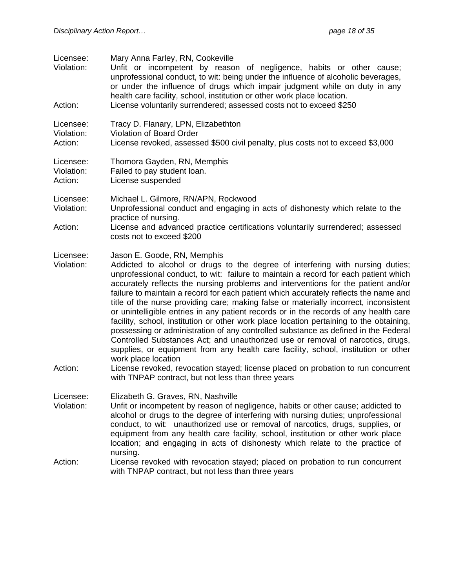| Licensee:<br>Violation:<br>Action: | Mary Anna Farley, RN, Cookeville<br>Unfit or incompetent by reason of negligence, habits or other cause;<br>unprofessional conduct, to wit: being under the influence of alcoholic beverages,<br>or under the influence of drugs which impair judgment while on duty in any<br>health care facility, school, institution or other work place location.<br>License voluntarily surrendered; assessed costs not to exceed \$250                                                                                                                                                                                                                                                                                                                                                                                                                                                                                                                                                                                                                                                                                                |
|------------------------------------|------------------------------------------------------------------------------------------------------------------------------------------------------------------------------------------------------------------------------------------------------------------------------------------------------------------------------------------------------------------------------------------------------------------------------------------------------------------------------------------------------------------------------------------------------------------------------------------------------------------------------------------------------------------------------------------------------------------------------------------------------------------------------------------------------------------------------------------------------------------------------------------------------------------------------------------------------------------------------------------------------------------------------------------------------------------------------------------------------------------------------|
| Licensee:<br>Violation:<br>Action: | Tracy D. Flanary, LPN, Elizabethton<br><b>Violation of Board Order</b><br>License revoked, assessed \$500 civil penalty, plus costs not to exceed \$3,000                                                                                                                                                                                                                                                                                                                                                                                                                                                                                                                                                                                                                                                                                                                                                                                                                                                                                                                                                                    |
| Licensee:<br>Violation:<br>Action: | Thomora Gayden, RN, Memphis<br>Failed to pay student loan.<br>License suspended                                                                                                                                                                                                                                                                                                                                                                                                                                                                                                                                                                                                                                                                                                                                                                                                                                                                                                                                                                                                                                              |
| Licensee:<br>Violation:<br>Action: | Michael L. Gilmore, RN/APN, Rockwood<br>Unprofessional conduct and engaging in acts of dishonesty which relate to the<br>practice of nursing.<br>License and advanced practice certifications voluntarily surrendered; assessed                                                                                                                                                                                                                                                                                                                                                                                                                                                                                                                                                                                                                                                                                                                                                                                                                                                                                              |
| Licensee:<br>Violation:<br>Action: | costs not to exceed \$200<br>Jason E. Goode, RN, Memphis<br>Addicted to alcohol or drugs to the degree of interfering with nursing duties;<br>unprofessional conduct, to wit: failure to maintain a record for each patient which<br>accurately reflects the nursing problems and interventions for the patient and/or<br>failure to maintain a record for each patient which accurately reflects the name and<br>title of the nurse providing care; making false or materially incorrect, inconsistent<br>or unintelligible entries in any patient records or in the records of any health care<br>facility, school, institution or other work place location pertaining to the obtaining,<br>possessing or administration of any controlled substance as defined in the Federal<br>Controlled Substances Act; and unauthorized use or removal of narcotics, drugs,<br>supplies, or equipment from any health care facility, school, institution or other<br>work place location<br>License revoked, revocation stayed; license placed on probation to run concurrent<br>with TNPAP contract, but not less than three years |
| Licensee:<br>Violation:            | Elizabeth G. Graves, RN, Nashville<br>Unfit or incompetent by reason of negligence, habits or other cause; addicted to<br>alcohol or drugs to the degree of interfering with nursing duties; unprofessional<br>conduct, to wit: unauthorized use or removal of narcotics, drugs, supplies, or<br>equipment from any health care facility, school, institution or other work place<br>location; and engaging in acts of dishonesty which relate to the practice of<br>nursing.                                                                                                                                                                                                                                                                                                                                                                                                                                                                                                                                                                                                                                                |
| Action:                            | License revoked with revocation stayed; placed on probation to run concurrent<br>with TNPAP contract, but not less than three years                                                                                                                                                                                                                                                                                                                                                                                                                                                                                                                                                                                                                                                                                                                                                                                                                                                                                                                                                                                          |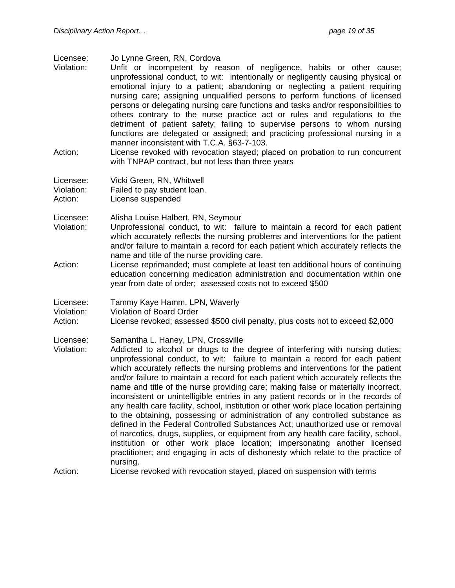Licensee: Jo Lynne Green, RN, Cordova

- Violation: Unfit or incompetent by reason of negligence, habits or other cause; unprofessional conduct, to wit: intentionally or negligently causing physical or emotional injury to a patient; abandoning or neglecting a patient requiring nursing care; assigning unqualified persons to perform functions of licensed persons or delegating nursing care functions and tasks and/or responsibilities to others contrary to the nurse practice act or rules and regulations to the detriment of patient safety; failing to supervise persons to whom nursing functions are delegated or assigned; and practicing professional nursing in a manner inconsistent with T.C.A. §63-7-103.
- Action: License revoked with revocation stayed; placed on probation to run concurrent with TNPAP contract, but not less than three years

Licensee: Vicki Green, RN, Whitwell Violation: Failed to pay student loan.

Action: License suspended

Licensee: Alisha Louise Halbert, RN, Seymour

- Violation: Unprofessional conduct, to wit: failure to maintain a record for each patient which accurately reflects the nursing problems and interventions for the patient and/or failure to maintain a record for each patient which accurately reflects the name and title of the nurse providing care.
- Action: License reprimanded; must complete at least ten additional hours of continuing education concerning medication administration and documentation within one year from date of order; assessed costs not to exceed \$500

Licensee: Tammy Kaye Hamm, LPN, Waverly

Violation: Violation of Board Order

Action: License revoked; assessed \$500 civil penalty, plus costs not to exceed \$2,000

Licensee: Samantha L. Haney, LPN, Crossville

Violation: Addicted to alcohol or drugs to the degree of interfering with nursing duties; unprofessional conduct, to wit: failure to maintain a record for each patient which accurately reflects the nursing problems and interventions for the patient and/or failure to maintain a record for each patient which accurately reflects the name and title of the nurse providing care; making false or materially incorrect, inconsistent or unintelligible entries in any patient records or in the records of any health care facility, school, institution or other work place location pertaining to the obtaining, possessing or administration of any controlled substance as defined in the Federal Controlled Substances Act; unauthorized use or removal of narcotics, drugs, supplies, or equipment from any health care facility, school, institution or other work place location; impersonating another licensed practitioner; and engaging in acts of dishonesty which relate to the practice of nursing.

Action: License revoked with revocation stayed, placed on suspension with terms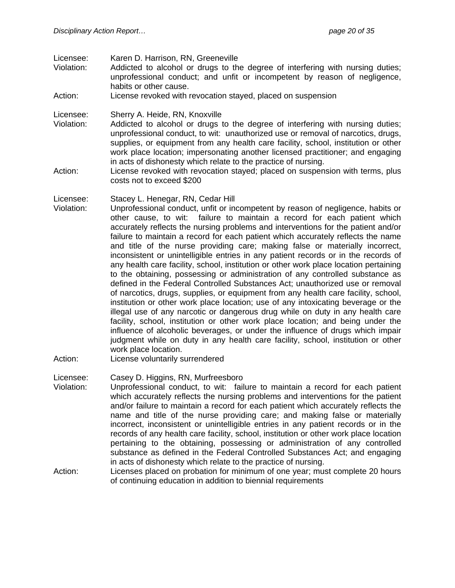Licensee: Karen D. Harrison, RN, Greeneville

- Violation: Addicted to alcohol or drugs to the degree of interfering with nursing duties; unprofessional conduct; and unfit or incompetent by reason of negligence, habits or other cause.
- Action: License revoked with revocation stayed, placed on suspension

Licensee: Sherry A. Heide, RN, Knoxville

- Violation: Addicted to alcohol or drugs to the degree of interfering with nursing duties; unprofessional conduct, to wit: unauthorized use or removal of narcotics, drugs, supplies, or equipment from any health care facility, school, institution or other work place location; impersonating another licensed practitioner; and engaging in acts of dishonesty which relate to the practice of nursing.
- Action: License revoked with revocation stayed; placed on suspension with terms, plus costs not to exceed \$200

#### Licensee: Stacey L. Henegar, RN, Cedar Hill

- Violation: Unprofessional conduct, unfit or incompetent by reason of negligence, habits or other cause, to wit: failure to maintain a record for each patient which accurately reflects the nursing problems and interventions for the patient and/or failure to maintain a record for each patient which accurately reflects the name and title of the nurse providing care; making false or materially incorrect, inconsistent or unintelligible entries in any patient records or in the records of any health care facility, school, institution or other work place location pertaining to the obtaining, possessing or administration of any controlled substance as defined in the Federal Controlled Substances Act; unauthorized use or removal of narcotics, drugs, supplies, or equipment from any health care facility, school, institution or other work place location; use of any intoxicating beverage or the illegal use of any narcotic or dangerous drug while on duty in any health care facility, school, institution or other work place location; and being under the influence of alcoholic beverages, or under the influence of drugs which impair judgment while on duty in any health care facility, school, institution or other work place location.
- Action: License voluntarily surrendered

Licensee: Casey D. Higgins, RN, Murfreesboro

- Violation: Unprofessional conduct, to wit: failure to maintain a record for each patient which accurately reflects the nursing problems and interventions for the patient and/or failure to maintain a record for each patient which accurately reflects the name and title of the nurse providing care; and making false or materially incorrect, inconsistent or unintelligible entries in any patient records or in the records of any health care facility, school, institution or other work place location pertaining to the obtaining, possessing or administration of any controlled substance as defined in the Federal Controlled Substances Act; and engaging in acts of dishonesty which relate to the practice of nursing.
- Action: Licenses placed on probation for minimum of one year; must complete 20 hours of continuing education in addition to biennial requirements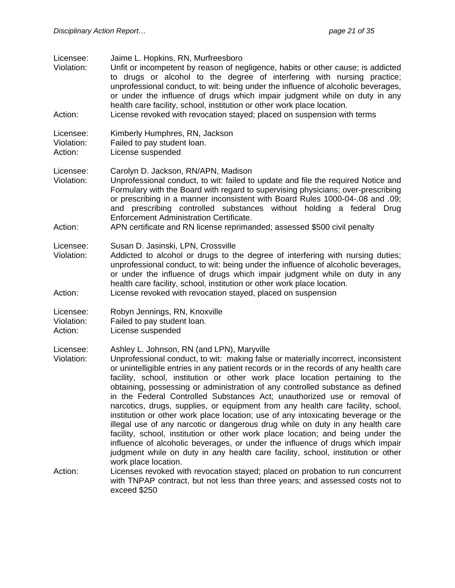| Licensee:<br>Violation:            | Jaime L. Hopkins, RN, Murfreesboro<br>Unfit or incompetent by reason of negligence, habits or other cause; is addicted<br>to drugs or alcohol to the degree of interfering with nursing practice;<br>unprofessional conduct, to wit: being under the influence of alcoholic beverages,<br>or under the influence of drugs which impair judgment while on duty in any<br>health care facility, school, institution or other work place location.                                                                                                                                                                                                                                                                                                                                                                                                                                                                                                                                                                    |
|------------------------------------|--------------------------------------------------------------------------------------------------------------------------------------------------------------------------------------------------------------------------------------------------------------------------------------------------------------------------------------------------------------------------------------------------------------------------------------------------------------------------------------------------------------------------------------------------------------------------------------------------------------------------------------------------------------------------------------------------------------------------------------------------------------------------------------------------------------------------------------------------------------------------------------------------------------------------------------------------------------------------------------------------------------------|
| Action:                            | License revoked with revocation stayed; placed on suspension with terms                                                                                                                                                                                                                                                                                                                                                                                                                                                                                                                                                                                                                                                                                                                                                                                                                                                                                                                                            |
| Licensee:<br>Violation:<br>Action: | Kimberly Humphres, RN, Jackson<br>Failed to pay student loan.<br>License suspended                                                                                                                                                                                                                                                                                                                                                                                                                                                                                                                                                                                                                                                                                                                                                                                                                                                                                                                                 |
| Licensee:<br>Violation:            | Carolyn D. Jackson, RN/APN, Madison<br>Unprofessional conduct, to wit: failed to update and file the required Notice and<br>Formulary with the Board with regard to supervising physicians; over-prescribing<br>or prescribing in a manner inconsistent with Board Rules 1000-04-.08 and .09;<br>and prescribing controlled substances without holding a federal Drug<br>Enforcement Administration Certificate.                                                                                                                                                                                                                                                                                                                                                                                                                                                                                                                                                                                                   |
| Action:                            | APN certificate and RN license reprimanded; assessed \$500 civil penalty                                                                                                                                                                                                                                                                                                                                                                                                                                                                                                                                                                                                                                                                                                                                                                                                                                                                                                                                           |
| Licensee:<br>Violation:            | Susan D. Jasinski, LPN, Crossville<br>Addicted to alcohol or drugs to the degree of interfering with nursing duties;<br>unprofessional conduct, to wit: being under the influence of alcoholic beverages,<br>or under the influence of drugs which impair judgment while on duty in any<br>health care facility, school, institution or other work place location.                                                                                                                                                                                                                                                                                                                                                                                                                                                                                                                                                                                                                                                 |
| Action:                            | License revoked with revocation stayed, placed on suspension                                                                                                                                                                                                                                                                                                                                                                                                                                                                                                                                                                                                                                                                                                                                                                                                                                                                                                                                                       |
| Licensee:<br>Violation:<br>Action: | Robyn Jennings, RN, Knoxville<br>Failed to pay student loan.<br>License suspended                                                                                                                                                                                                                                                                                                                                                                                                                                                                                                                                                                                                                                                                                                                                                                                                                                                                                                                                  |
| Licensee:<br>Violation:            | Ashley L. Johnson, RN (and LPN), Maryville<br>Unprofessional conduct, to wit: making false or materially incorrect, inconsistent<br>or unintelligible entries in any patient records or in the records of any health care<br>facility, school, institution or other work place location pertaining to the<br>obtaining, possessing or administration of any controlled substance as defined<br>in the Federal Controlled Substances Act; unauthorized use or removal of<br>narcotics, drugs, supplies, or equipment from any health care facility, school,<br>institution or other work place location; use of any intoxicating beverage or the<br>illegal use of any narcotic or dangerous drug while on duty in any health care<br>facility, school, institution or other work place location; and being under the<br>influence of alcoholic beverages, or under the influence of drugs which impair<br>judgment while on duty in any health care facility, school, institution or other<br>work place location. |
| Action:                            | Licenses revoked with revocation stayed; placed on probation to run concurrent<br>with TNPAP contract, but not less than three years; and assessed costs not to                                                                                                                                                                                                                                                                                                                                                                                                                                                                                                                                                                                                                                                                                                                                                                                                                                                    |

exceed \$250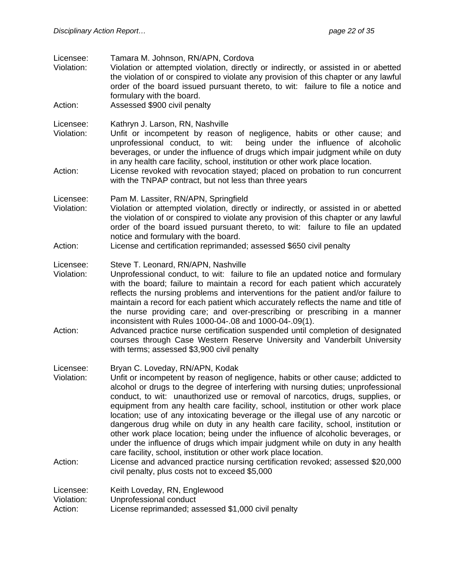| Licensee:<br>Violation:<br>Action: | Tamara M. Johnson, RN/APN, Cordova<br>Violation or attempted violation, directly or indirectly, or assisted in or abetted<br>the violation of or conspired to violate any provision of this chapter or any lawful<br>order of the board issued pursuant thereto, to wit: failure to file a notice and<br>formulary with the board.<br>Assessed \$900 civil penalty                                                                                                                                                                                                                                                                                                                                                                                                                                                                                                                                                                   |
|------------------------------------|--------------------------------------------------------------------------------------------------------------------------------------------------------------------------------------------------------------------------------------------------------------------------------------------------------------------------------------------------------------------------------------------------------------------------------------------------------------------------------------------------------------------------------------------------------------------------------------------------------------------------------------------------------------------------------------------------------------------------------------------------------------------------------------------------------------------------------------------------------------------------------------------------------------------------------------|
| Licensee:<br>Violation:<br>Action: | Kathryn J. Larson, RN, Nashville<br>Unfit or incompetent by reason of negligence, habits or other cause; and<br>unprofessional conduct, to wit:<br>being under the influence of alcoholic<br>beverages, or under the influence of drugs which impair judgment while on duty<br>in any health care facility, school, institution or other work place location.<br>License revoked with revocation stayed; placed on probation to run concurrent                                                                                                                                                                                                                                                                                                                                                                                                                                                                                       |
|                                    | with the TNPAP contract, but not less than three years                                                                                                                                                                                                                                                                                                                                                                                                                                                                                                                                                                                                                                                                                                                                                                                                                                                                               |
| Licensee:<br>Violation:            | Pam M. Lassiter, RN/APN, Springfield<br>Violation or attempted violation, directly or indirectly, or assisted in or abetted<br>the violation of or conspired to violate any provision of this chapter or any lawful<br>order of the board issued pursuant thereto, to wit: failure to file an updated<br>notice and formulary with the board.                                                                                                                                                                                                                                                                                                                                                                                                                                                                                                                                                                                        |
| Action:                            | License and certification reprimanded; assessed \$650 civil penalty                                                                                                                                                                                                                                                                                                                                                                                                                                                                                                                                                                                                                                                                                                                                                                                                                                                                  |
| Licensee:<br>Violation:<br>Action: | Steve T. Leonard, RN/APN, Nashville<br>Unprofessional conduct, to wit: failure to file an updated notice and formulary<br>with the board; failure to maintain a record for each patient which accurately<br>reflects the nursing problems and interventions for the patient and/or failure to<br>maintain a record for each patient which accurately reflects the name and title of<br>the nurse providing care; and over-prescribing or prescribing in a manner<br>inconsistent with Rules 1000-04-.08 and 1000-04-.09(1).<br>Advanced practice nurse certification suspended until completion of designated<br>courses through Case Western Reserve University and Vanderbilt University                                                                                                                                                                                                                                           |
|                                    | with terms; assessed \$3,900 civil penalty                                                                                                                                                                                                                                                                                                                                                                                                                                                                                                                                                                                                                                                                                                                                                                                                                                                                                           |
| Licensee:<br>Violation:<br>Action: | Bryan C. Loveday, RN/APN, Kodak<br>Unfit or incompetent by reason of negligence, habits or other cause; addicted to<br>alcohol or drugs to the degree of interfering with nursing duties; unprofessional<br>conduct, to wit: unauthorized use or removal of narcotics, drugs, supplies, or<br>equipment from any health care facility, school, institution or other work place<br>location; use of any intoxicating beverage or the illegal use of any narcotic or<br>dangerous drug while on duty in any health care facility, school, institution or<br>other work place location; being under the influence of alcoholic beverages, or<br>under the influence of drugs which impair judgment while on duty in any health<br>care facility, school, institution or other work place location.<br>License and advanced practice nursing certification revoked; assessed \$20,000<br>civil penalty, plus costs not to exceed \$5,000 |
|                                    |                                                                                                                                                                                                                                                                                                                                                                                                                                                                                                                                                                                                                                                                                                                                                                                                                                                                                                                                      |
| Licensee:<br>Violation:<br>Action: | Keith Loveday, RN, Englewood<br>Unprofessional conduct<br>License reprimanded; assessed \$1,000 civil penalty                                                                                                                                                                                                                                                                                                                                                                                                                                                                                                                                                                                                                                                                                                                                                                                                                        |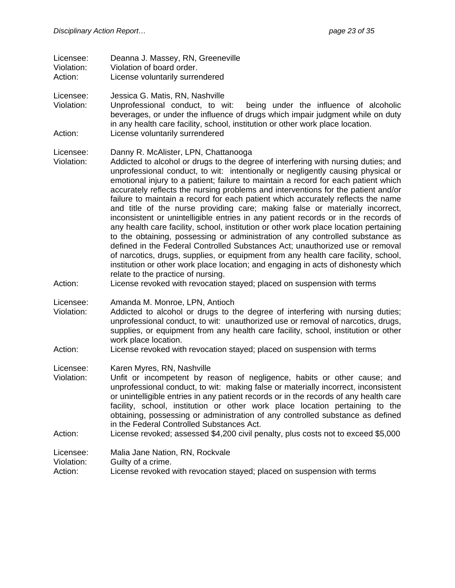| Licensee:  | Deanna J. Massey, RN, Greeneville |
|------------|-----------------------------------|
| Violation: | Violation of board order.         |
|            |                                   |

Action: License voluntarily surrendered

Licensee: Jessica G. Matis, RN, Nashville

Violation: Unprofessional conduct, to wit: being under the influence of alcoholic beverages, or under the influence of drugs which impair judgment while on duty in any health care facility, school, institution or other work place location. Action: License voluntarily surrendered

- Licensee: Danny R. McAlister, LPN, Chattanooga
- Violation: Addicted to alcohol or drugs to the degree of interfering with nursing duties; and unprofessional conduct, to wit: intentionally or negligently causing physical or emotional injury to a patient; failure to maintain a record for each patient which accurately reflects the nursing problems and interventions for the patient and/or failure to maintain a record for each patient which accurately reflects the name and title of the nurse providing care; making false or materially incorrect, inconsistent or unintelligible entries in any patient records or in the records of any health care facility, school, institution or other work place location pertaining to the obtaining, possessing or administration of any controlled substance as defined in the Federal Controlled Substances Act; unauthorized use or removal of narcotics, drugs, supplies, or equipment from any health care facility, school, institution or other work place location; and engaging in acts of dishonesty which relate to the practice of nursing.
- Action: License revoked with revocation stayed; placed on suspension with terms
- Licensee: Amanda M. Monroe, LPN, Antioch
- Violation: Addicted to alcohol or drugs to the degree of interfering with nursing duties; unprofessional conduct, to wit: unauthorized use or removal of narcotics, drugs, supplies, or equipment from any health care facility, school, institution or other work place location.
- Action: License revoked with revocation stayed; placed on suspension with terms
- Licensee: Karen Myres, RN, Nashville
- Violation: Unfit or incompetent by reason of negligence, habits or other cause; and unprofessional conduct, to wit: making false or materially incorrect, inconsistent or unintelligible entries in any patient records or in the records of any health care facility, school, institution or other work place location pertaining to the obtaining, possessing or administration of any controlled substance as defined in the Federal Controlled Substances Act.
- Action: License revoked; assessed \$4,200 civil penalty, plus costs not to exceed \$5,000

#### Licensee: Malia Jane Nation, RN, Rockvale

- Violation: Guilty of a crime.
- Action: License revoked with revocation stayed; placed on suspension with terms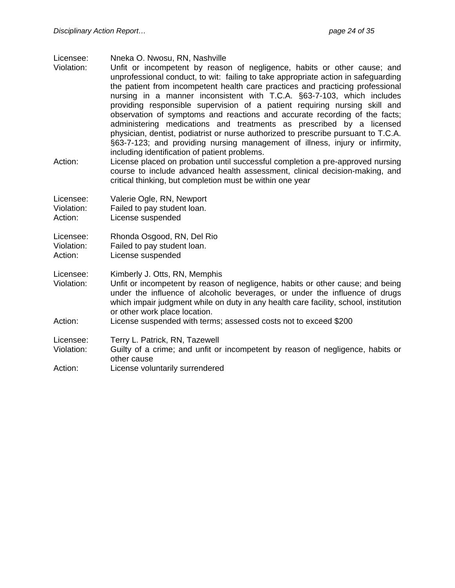- Licensee: Nneka O. Nwosu, RN, Nashville
- Violation: Unfit or incompetent by reason of negligence, habits or other cause; and unprofessional conduct, to wit: failing to take appropriate action in safeguarding the patient from incompetent health care practices and practicing professional nursing in a manner inconsistent with T.C.A. §63-7-103, which includes providing responsible supervision of a patient requiring nursing skill and observation of symptoms and reactions and accurate recording of the facts; administering medications and treatments as prescribed by a licensed physician, dentist, podiatrist or nurse authorized to prescribe pursuant to T.C.A. §63-7-123; and providing nursing management of illness, injury or infirmity, including identification of patient problems.
- Action: License placed on probation until successful completion a pre-approved nursing course to include advanced health assessment, clinical decision-making, and critical thinking, but completion must be within one year

| Licensee:  | Valerie Ogle, RN, Newport   |
|------------|-----------------------------|
| Violation: | Failed to pay student loan. |
| Action:    | License suspended           |

Licensee: Rhonda Osgood, RN, Del Rio

Violation: Failed to pay student loan.

Action: License suspended

Licensee: Kimberly J. Otts, RN, Memphis

- Violation: Unfit or incompetent by reason of negligence, habits or other cause; and being under the influence of alcoholic beverages, or under the influence of drugs which impair judgment while on duty in any health care facility, school, institution or other work place location.
- Action: License suspended with terms; assessed costs not to exceed \$200

Licensee: Terry L. Patrick, RN, Tazewell

- Violation: Guilty of a crime; and unfit or incompetent by reason of negligence, habits or other cause
- Action: License voluntarily surrendered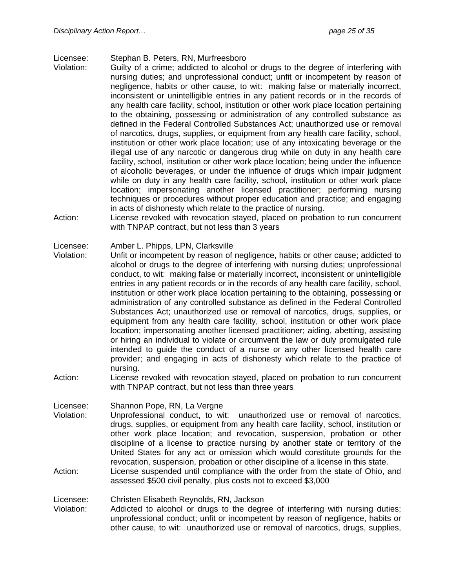#### Licensee: Stephan B. Peters, RN, Murfreesboro

- Violation: Guilty of a crime; addicted to alcohol or drugs to the degree of interfering with nursing duties; and unprofessional conduct; unfit or incompetent by reason of negligence, habits or other cause, to wit: making false or materially incorrect, inconsistent or unintelligible entries in any patient records or in the records of any health care facility, school, institution or other work place location pertaining to the obtaining, possessing or administration of any controlled substance as defined in the Federal Controlled Substances Act; unauthorized use or removal of narcotics, drugs, supplies, or equipment from any health care facility, school, institution or other work place location; use of any intoxicating beverage or the illegal use of any narcotic or dangerous drug while on duty in any health care facility, school, institution or other work place location; being under the influence of alcoholic beverages, or under the influence of drugs which impair judgment while on duty in any health care facility, school, institution or other work place location; impersonating another licensed practitioner; performing nursing techniques or procedures without proper education and practice; and engaging in acts of dishonesty which relate to the practice of nursing.
- Action: License revoked with revocation stayed, placed on probation to run concurrent with TNPAP contract, but not less than 3 years

#### Licensee: Amber L. Phipps, LPN, Clarksville

- Violation: Unfit or incompetent by reason of negligence, habits or other cause; addicted to alcohol or drugs to the degree of interfering with nursing duties; unprofessional conduct, to wit: making false or materially incorrect, inconsistent or unintelligible entries in any patient records or in the records of any health care facility, school, institution or other work place location pertaining to the obtaining, possessing or administration of any controlled substance as defined in the Federal Controlled Substances Act; unauthorized use or removal of narcotics, drugs, supplies, or equipment from any health care facility, school, institution or other work place location; impersonating another licensed practitioner; aiding, abetting, assisting or hiring an individual to violate or circumvent the law or duly promulgated rule intended to guide the conduct of a nurse or any other licensed health care provider; and engaging in acts of dishonesty which relate to the practice of nursing.
- Action: License revoked with revocation stayed, placed on probation to run concurrent with TNPAP contract, but not less than three years

Licensee: Shannon Pope, RN, La Vergne

- Violation: Unprofessional conduct, to wit: unauthorized use or removal of narcotics, drugs, supplies, or equipment from any health care facility, school, institution or other work place location; and revocation, suspension, probation or other discipline of a license to practice nursing by another state or territory of the United States for any act or omission which would constitute grounds for the revocation, suspension, probation or other discipline of a license in this state.
- Action: License suspended until compliance with the order from the state of Ohio, and assessed \$500 civil penalty, plus costs not to exceed \$3,000

#### Licensee: Christen Elisabeth Reynolds, RN, Jackson

Violation: Addicted to alcohol or drugs to the degree of interfering with nursing duties; unprofessional conduct; unfit or incompetent by reason of negligence, habits or other cause, to wit: unauthorized use or removal of narcotics, drugs, supplies,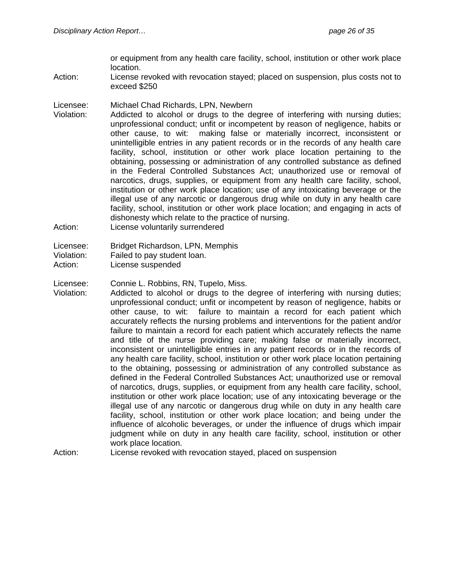or equipment from any health care facility, school, institution or other work place location.

- Action: License revoked with revocation stayed; placed on suspension, plus costs not to exceed \$250
- Licensee: Michael Chad Richards, LPN, Newbern
- Violation: Addicted to alcohol or drugs to the degree of interfering with nursing duties; unprofessional conduct; unfit or incompetent by reason of negligence, habits or other cause, to wit: making false or materially incorrect, inconsistent or unintelligible entries in any patient records or in the records of any health care facility, school, institution or other work place location pertaining to the obtaining, possessing or administration of any controlled substance as defined in the Federal Controlled Substances Act; unauthorized use or removal of narcotics, drugs, supplies, or equipment from any health care facility, school, institution or other work place location; use of any intoxicating beverage or the illegal use of any narcotic or dangerous drug while on duty in any health care facility, school, institution or other work place location; and engaging in acts of dishonesty which relate to the practice of nursing.
- Action: License voluntarily surrendered
- Licensee: Bridget Richardson, LPN, Memphis
- Violation: Failed to pay student loan.
- Action: License suspended

Licensee: Connie L. Robbins, RN, Tupelo, Miss.

- Violation: Addicted to alcohol or drugs to the degree of interfering with nursing duties; unprofessional conduct; unfit or incompetent by reason of negligence, habits or other cause, to wit: failure to maintain a record for each patient which accurately reflects the nursing problems and interventions for the patient and/or failure to maintain a record for each patient which accurately reflects the name and title of the nurse providing care; making false or materially incorrect, inconsistent or unintelligible entries in any patient records or in the records of any health care facility, school, institution or other work place location pertaining to the obtaining, possessing or administration of any controlled substance as defined in the Federal Controlled Substances Act; unauthorized use or removal of narcotics, drugs, supplies, or equipment from any health care facility, school, institution or other work place location; use of any intoxicating beverage or the illegal use of any narcotic or dangerous drug while on duty in any health care facility, school, institution or other work place location; and being under the influence of alcoholic beverages, or under the influence of drugs which impair judgment while on duty in any health care facility, school, institution or other work place location.
- Action: License revoked with revocation stayed, placed on suspension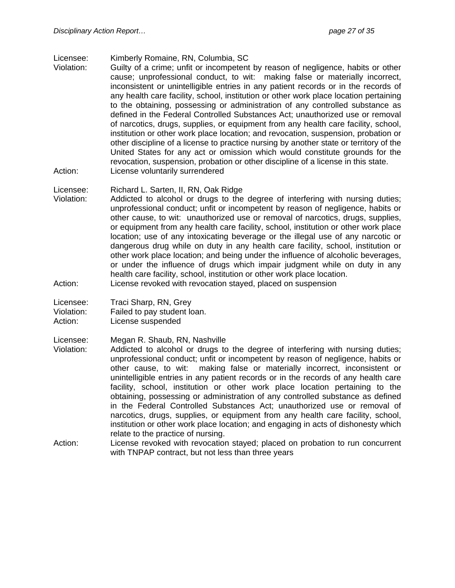Licensee: Kimberly Romaine, RN, Columbia, SC

- Violation: Guilty of a crime; unfit or incompetent by reason of negligence, habits or other cause; unprofessional conduct, to wit: making false or materially incorrect, inconsistent or unintelligible entries in any patient records or in the records of any health care facility, school, institution or other work place location pertaining to the obtaining, possessing or administration of any controlled substance as defined in the Federal Controlled Substances Act; unauthorized use or removal of narcotics, drugs, supplies, or equipment from any health care facility, school, institution or other work place location; and revocation, suspension, probation or other discipline of a license to practice nursing by another state or territory of the United States for any act or omission which would constitute grounds for the revocation, suspension, probation or other discipline of a license in this state. Action: License voluntarily surrendered
- Licensee: Richard L. Sarten, II, RN, Oak Ridge
- Violation: Addicted to alcohol or drugs to the degree of interfering with nursing duties; unprofessional conduct; unfit or incompetent by reason of negligence, habits or other cause, to wit: unauthorized use or removal of narcotics, drugs, supplies, or equipment from any health care facility, school, institution or other work place location; use of any intoxicating beverage or the illegal use of any narcotic or dangerous drug while on duty in any health care facility, school, institution or other work place location; and being under the influence of alcoholic beverages, or under the influence of drugs which impair judgment while on duty in any health care facility, school, institution or other work place location.
- Action: License revoked with revocation stayed, placed on suspension
- Licensee: Traci Sharp, RN, Grey

Violation: Failed to pay student loan.

Action: License suspended

Licensee: Megan R. Shaub, RN, Nashville

- Violation: Addicted to alcohol or drugs to the degree of interfering with nursing duties; unprofessional conduct; unfit or incompetent by reason of negligence, habits or other cause, to wit: making false or materially incorrect, inconsistent or unintelligible entries in any patient records or in the records of any health care facility, school, institution or other work place location pertaining to the obtaining, possessing or administration of any controlled substance as defined in the Federal Controlled Substances Act; unauthorized use or removal of narcotics, drugs, supplies, or equipment from any health care facility, school, institution or other work place location; and engaging in acts of dishonesty which relate to the practice of nursing.
- Action: License revoked with revocation stayed; placed on probation to run concurrent with TNPAP contract, but not less than three years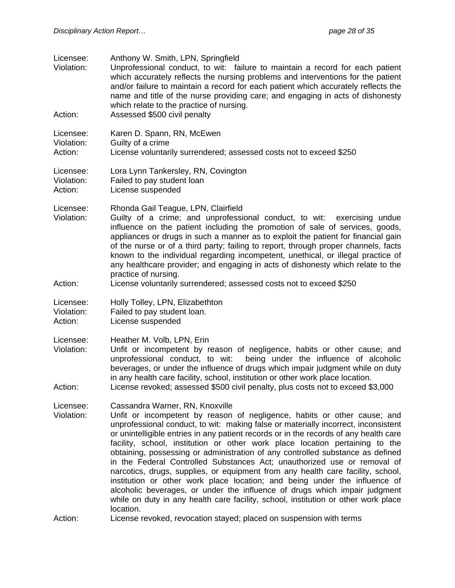| Licensee:<br>Violation:<br>Action: | Anthony W. Smith, LPN, Springfield<br>Unprofessional conduct, to wit: failure to maintain a record for each patient<br>which accurately reflects the nursing problems and interventions for the patient<br>and/or failure to maintain a record for each patient which accurately reflects the<br>name and title of the nurse providing care; and engaging in acts of dishonesty<br>which relate to the practice of nursing.<br>Assessed \$500 civil penalty                                                                                                                                                                                                                                                                                                                                                                                                                                |
|------------------------------------|--------------------------------------------------------------------------------------------------------------------------------------------------------------------------------------------------------------------------------------------------------------------------------------------------------------------------------------------------------------------------------------------------------------------------------------------------------------------------------------------------------------------------------------------------------------------------------------------------------------------------------------------------------------------------------------------------------------------------------------------------------------------------------------------------------------------------------------------------------------------------------------------|
|                                    |                                                                                                                                                                                                                                                                                                                                                                                                                                                                                                                                                                                                                                                                                                                                                                                                                                                                                            |
| Licensee:<br>Violation:<br>Action: | Karen D. Spann, RN, McEwen<br>Guilty of a crime<br>License voluntarily surrendered; assessed costs not to exceed \$250                                                                                                                                                                                                                                                                                                                                                                                                                                                                                                                                                                                                                                                                                                                                                                     |
| Licensee:<br>Violation:<br>Action: | Lora Lynn Tankersley, RN, Covington<br>Failed to pay student loan<br>License suspended                                                                                                                                                                                                                                                                                                                                                                                                                                                                                                                                                                                                                                                                                                                                                                                                     |
| Licensee:<br>Violation:<br>Action: | Rhonda Gail Teague, LPN, Clairfield<br>Guilty of a crime; and unprofessional conduct, to wit: exercising undue<br>influence on the patient including the promotion of sale of services, goods,<br>appliances or drugs in such a manner as to exploit the patient for financial gain<br>of the nurse or of a third party; failing to report, through proper channels, facts<br>known to the individual regarding incompetent, unethical, or illegal practice of<br>any healthcare provider; and engaging in acts of dishonesty which relate to the<br>practice of nursing.<br>License voluntarily surrendered; assessed costs not to exceed \$250                                                                                                                                                                                                                                           |
|                                    |                                                                                                                                                                                                                                                                                                                                                                                                                                                                                                                                                                                                                                                                                                                                                                                                                                                                                            |
| Licensee:<br>Violation:<br>Action: | Holly Tolley, LPN, Elizabethton<br>Failed to pay student loan.<br>License suspended                                                                                                                                                                                                                                                                                                                                                                                                                                                                                                                                                                                                                                                                                                                                                                                                        |
| Licensee:<br>Violation:<br>Action: | Heather M. Volb, LPN, Erin<br>Unfit or incompetent by reason of negligence, habits or other cause; and<br>being under the influence of alcoholic<br>unprofessional conduct, to wit:<br>beverages, or under the influence of drugs which impair judgment while on duty<br>in any health care facility, school, institution or other work place location.<br>License revoked; assessed \$500 civil penalty, plus costs not to exceed \$3,000                                                                                                                                                                                                                                                                                                                                                                                                                                                 |
|                                    |                                                                                                                                                                                                                                                                                                                                                                                                                                                                                                                                                                                                                                                                                                                                                                                                                                                                                            |
| Licensee:<br>Violation:            | Cassandra Warner, RN, Knoxville<br>Unfit or incompetent by reason of negligence, habits or other cause; and<br>unprofessional conduct, to wit: making false or materially incorrect, inconsistent<br>or unintelligible entries in any patient records or in the records of any health care<br>facility, school, institution or other work place location pertaining to the<br>obtaining, possessing or administration of any controlled substance as defined<br>in the Federal Controlled Substances Act; unauthorized use or removal of<br>narcotics, drugs, supplies, or equipment from any health care facility, school,<br>institution or other work place location; and being under the influence of<br>alcoholic beverages, or under the influence of drugs which impair judgment<br>while on duty in any health care facility, school, institution or other work place<br>location. |
| Action:                            | License revoked, revocation stayed; placed on suspension with terms                                                                                                                                                                                                                                                                                                                                                                                                                                                                                                                                                                                                                                                                                                                                                                                                                        |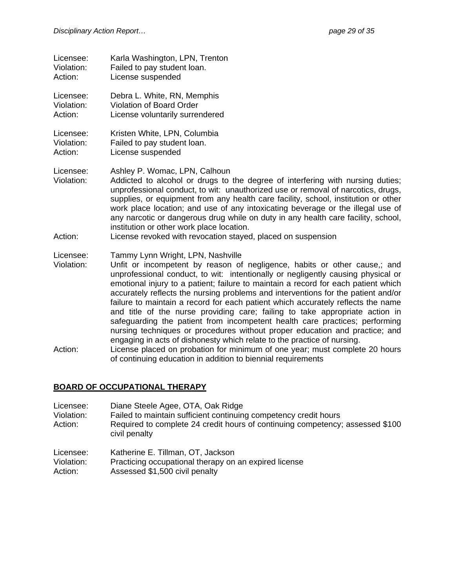| Licensee:               | Karla Washington, LPN, Trenton                                                                                                                                                                                                                                                                                                                                                                                                                                                                                 |
|-------------------------|----------------------------------------------------------------------------------------------------------------------------------------------------------------------------------------------------------------------------------------------------------------------------------------------------------------------------------------------------------------------------------------------------------------------------------------------------------------------------------------------------------------|
| Violation:              | Failed to pay student loan.                                                                                                                                                                                                                                                                                                                                                                                                                                                                                    |
| Action:                 | License suspended                                                                                                                                                                                                                                                                                                                                                                                                                                                                                              |
| Licensee:               | Debra L. White, RN, Memphis                                                                                                                                                                                                                                                                                                                                                                                                                                                                                    |
| Violation:              | Violation of Board Order                                                                                                                                                                                                                                                                                                                                                                                                                                                                                       |
| Action:                 | License voluntarily surrendered                                                                                                                                                                                                                                                                                                                                                                                                                                                                                |
| Licensee:               | Kristen White, LPN, Columbia                                                                                                                                                                                                                                                                                                                                                                                                                                                                                   |
| Violation:              | Failed to pay student loan.                                                                                                                                                                                                                                                                                                                                                                                                                                                                                    |
| Action:                 | License suspended                                                                                                                                                                                                                                                                                                                                                                                                                                                                                              |
| Licensee:<br>Violation: | Ashley P. Womac, LPN, Calhoun<br>Addicted to alcohol or drugs to the degree of interfering with nursing duties;<br>unprofessional conduct, to wit: unauthorized use or removal of narcotics, drugs,<br>supplies, or equipment from any health care facility, school, institution or other<br>work place location; and use of any intoxicating beverage or the illegal use of<br>any narcotic or dangerous drug while on duty in any health care facility, school,<br>institution or other work place location. |
| Action:                 | License revoked with revocation stayed, placed on suspension                                                                                                                                                                                                                                                                                                                                                                                                                                                   |

#### Licensee: Tammy Lynn Wright, LPN, Nashville

Violation: Unfit or incompetent by reason of negligence, habits or other cause,; and unprofessional conduct, to wit: intentionally or negligently causing physical or emotional injury to a patient; failure to maintain a record for each patient which accurately reflects the nursing problems and interventions for the patient and/or failure to maintain a record for each patient which accurately reflects the name and title of the nurse providing care; failing to take appropriate action in safeguarding the patient from incompetent health care practices; performing nursing techniques or procedures without proper education and practice; and engaging in acts of dishonesty which relate to the practice of nursing.

Action: License placed on probation for minimum of one year; must complete 20 hours of continuing education in addition to biennial requirements

#### **BOARD OF OCCUPATIONAL THERAPY**

| Licensee:  | Diane Steele Agee, OTA, Oak Ridge                                                              |
|------------|------------------------------------------------------------------------------------------------|
| Violation: | Failed to maintain sufficient continuing competency credit hours                               |
| Action:    | Required to complete 24 credit hours of continuing competency; assessed \$100<br>civil penalty |

- Licensee: Katherine E. Tillman, OT, Jackson
- Violation: Practicing occupational therapy on an expired license
- Action: Assessed \$1,500 civil penalty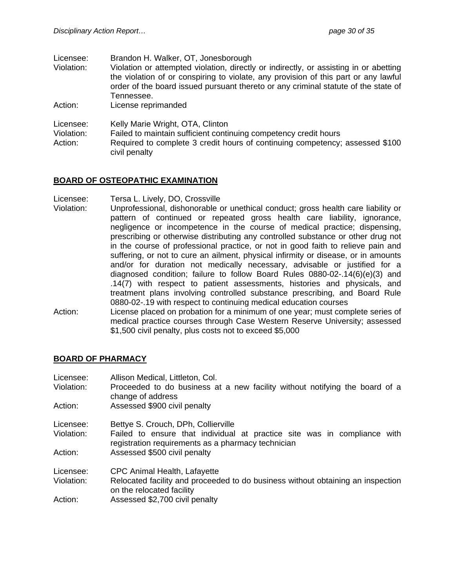| Licensee:                              | Brandon H. Walker, OT, Jonesborough                                                   |
|----------------------------------------|---------------------------------------------------------------------------------------|
| Violation:                             | Violation or attempted violation, directly or indirectly, or assisting in or abetting |
|                                        | the violation of or conspiring to violate, any provision of this part or any lawful   |
|                                        | order of the board issued pursuant thereto or any criminal statute of the state of    |
|                                        | Tennessee.                                                                            |
| Action:                                | License reprimanded                                                                   |
| Licensee:                              | Kelly Marie Wright, OTA, Clinton                                                      |
| $\mathbf{v}$ . The set of $\mathbf{v}$ |                                                                                       |

Violation: Failed to maintain sufficient continuing competency credit hours Action: Required to complete 3 credit hours of continuing competency; assessed \$100 civil penalty

## **BOARD OF OSTEOPATHIC EXAMINATION**

Licensee: Tersa L. Lively, DO, Crossville

- Violation: Unprofessional, dishonorable or unethical conduct; gross health care liability or pattern of continued or repeated gross health care liability, ignorance, negligence or incompetence in the course of medical practice; dispensing, prescribing or otherwise distributing any controlled substance or other drug not in the course of professional practice, or not in good faith to relieve pain and suffering, or not to cure an ailment, physical infirmity or disease, or in amounts and/or for duration not medically necessary, advisable or justified for a diagnosed condition; failure to follow Board Rules 0880-02-.14(6)(e)(3) and .14(7) with respect to patient assessments, histories and physicals, and treatment plans involving controlled substance prescribing, and Board Rule 0880-02-.19 with respect to continuing medical education courses
- Action: License placed on probation for a minimum of one year; must complete series of medical practice courses through Case Western Reserve University; assessed \$1,500 civil penalty, plus costs not to exceed \$5,000

#### **BOARD OF PHARMACY**

| Licensee:<br>Violation:<br>Action: | Allison Medical, Littleton, Col.<br>Proceeded to do business at a new facility without notifying the board of a<br>change of address<br>Assessed \$900 civil penalty |
|------------------------------------|----------------------------------------------------------------------------------------------------------------------------------------------------------------------|
|                                    |                                                                                                                                                                      |
| Licensee:                          | Bettye S. Crouch, DPh, Collierville                                                                                                                                  |
| Violation:                         | Failed to ensure that individual at practice site was in compliance with<br>registration requirements as a pharmacy technician                                       |
| Action:                            | Assessed \$500 civil penalty                                                                                                                                         |
| Licensee:                          | <b>CPC Animal Health, Lafayette</b>                                                                                                                                  |
| Violation:                         | Relocated facility and proceeded to do business without obtaining an inspection<br>on the relocated facility                                                         |
| Action:                            | Assessed \$2,700 civil penalty                                                                                                                                       |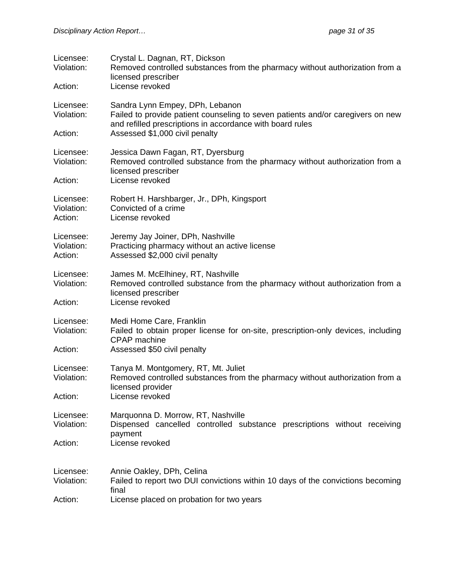| Licensee:<br>Violation:<br>Action: | Crystal L. Dagnan, RT, Dickson<br>Removed controlled substances from the pharmacy without authorization from a<br>licensed prescriber<br>License revoked                        |
|------------------------------------|---------------------------------------------------------------------------------------------------------------------------------------------------------------------------------|
| Licensee:<br>Violation:            | Sandra Lynn Empey, DPh, Lebanon<br>Failed to provide patient counseling to seven patients and/or caregivers on new<br>and refilled prescriptions in accordance with board rules |
| Action:                            | Assessed \$1,000 civil penalty                                                                                                                                                  |
| Licensee:<br>Violation:            | Jessica Dawn Fagan, RT, Dyersburg<br>Removed controlled substance from the pharmacy without authorization from a<br>licensed prescriber                                         |
| Action:                            | License revoked                                                                                                                                                                 |
| Licensee:<br>Violation:<br>Action: | Robert H. Harshbarger, Jr., DPh, Kingsport<br>Convicted of a crime<br>License revoked                                                                                           |
| Licensee:<br>Violation:<br>Action: | Jeremy Jay Joiner, DPh, Nashville<br>Practicing pharmacy without an active license<br>Assessed \$2,000 civil penalty                                                            |
| Licensee:<br>Violation:            | James M. McElhiney, RT, Nashville<br>Removed controlled substance from the pharmacy without authorization from a<br>licensed prescriber                                         |
| Action:                            | License revoked                                                                                                                                                                 |
| Licensee:<br>Violation:            | Medi Home Care, Franklin<br>Failed to obtain proper license for on-site, prescription-only devices, including<br>CPAP machine                                                   |
| Action:                            | Assessed \$50 civil penalty                                                                                                                                                     |
| Licensee:<br>Violation:            | Tanya M. Montgomery, RT, Mt. Juliet<br>Removed controlled substances from the pharmacy without authorization from a<br>licensed provider                                        |
| Action:                            | License revoked                                                                                                                                                                 |
| Licensee:<br>Violation:            | Marquonna D. Morrow, RT, Nashville<br>Dispensed cancelled controlled substance prescriptions without receiving<br>payment                                                       |
| Action:                            | License revoked                                                                                                                                                                 |
|                                    |                                                                                                                                                                                 |
| Licensee:<br>Violation:            | Annie Oakley, DPh, Celina<br>Failed to report two DUI convictions within 10 days of the convictions becoming<br>final                                                           |
| Action:                            | License placed on probation for two years                                                                                                                                       |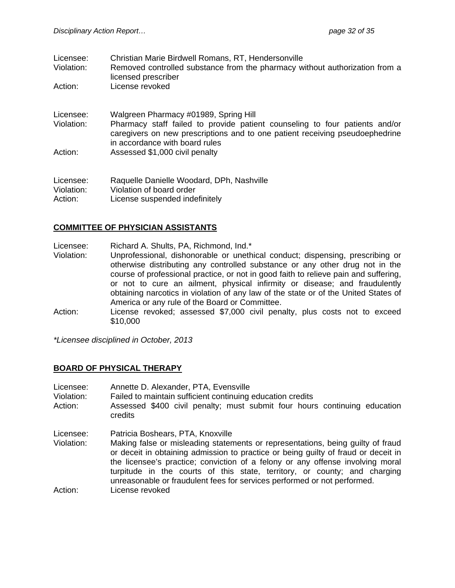| Licensee: | Christian Marie Birdwell Romans, RT, Hendersonville          |
|-----------|--------------------------------------------------------------|
| . امنند   | Demoural controlled cubetance from the phormeon, without our |

- Violation: Removed controlled substance from the pharmacy without authorization from a licensed prescriber
- Action: License revoked
- Licensee: Walgreen Pharmacy #01989, Spring Hill Violation: Pharmacy staff failed to provide patient counseling to four patients and/or caregivers on new prescriptions and to one patient receiving pseudoephedrine in accordance with board rules Action: Assessed \$1,000 civil penalty

Licensee: Raquelle Danielle Woodard, DPh, Nashville Violation: Violation of board order Action: License suspended indefinitely

#### **COMMITTEE OF PHYSICIAN ASSISTANTS**

Licensee: Richard A. Shults, PA, Richmond, Ind.\*

- Violation: Unprofessional, dishonorable or unethical conduct; dispensing, prescribing or otherwise distributing any controlled substance or any other drug not in the course of professional practice, or not in good faith to relieve pain and suffering, or not to cure an ailment, physical infirmity or disease; and fraudulently obtaining narcotics in violation of any law of the state or of the United States of America or any rule of the Board or Committee.
- Action: License revoked; assessed \$7,000 civil penalty, plus costs not to exceed \$10,000

*\*Licensee disciplined in October, 2013*

#### **BOARD OF PHYSICAL THERAPY**

- Licensee: Annette D. Alexander, PTA, Evensville
- Violation: Failed to maintain sufficient continuing education credits
- Action: Assessed \$400 civil penalty; must submit four hours continuing education credits
- Licensee: Patricia Boshears, PTA, Knoxville
- Violation: Making false or misleading statements or representations, being guilty of fraud or deceit in obtaining admission to practice or being guilty of fraud or deceit in the licensee's practice; conviction of a felony or any offense involving moral turpitude in the courts of this state, territory, or county; and charging unreasonable or fraudulent fees for services performed or not performed.

Action: License revoked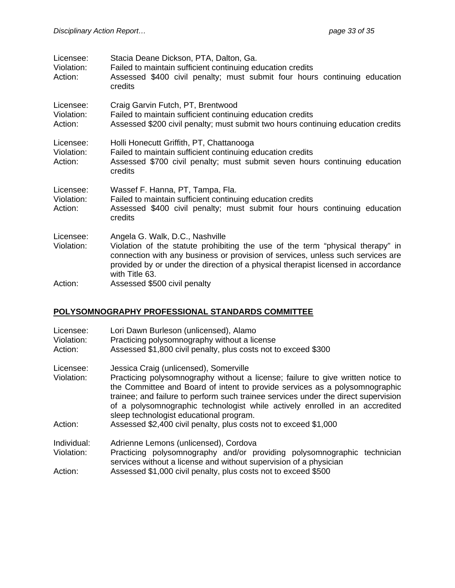| Licensee:<br>Violation:<br>Action: | Stacia Deane Dickson, PTA, Dalton, Ga.<br>Failed to maintain sufficient continuing education credits<br>Assessed \$400 civil penalty; must submit four hours continuing education<br>credits                                                                                                                |
|------------------------------------|-------------------------------------------------------------------------------------------------------------------------------------------------------------------------------------------------------------------------------------------------------------------------------------------------------------|
| Licensee:<br>Violation:<br>Action: | Craig Garvin Futch, PT, Brentwood<br>Failed to maintain sufficient continuing education credits<br>Assessed \$200 civil penalty; must submit two hours continuing education credits                                                                                                                         |
| Licensee:<br>Violation:<br>Action: | Holli Honecutt Griffith, PT, Chattanooga<br>Failed to maintain sufficient continuing education credits<br>Assessed \$700 civil penalty; must submit seven hours continuing education<br>credits                                                                                                             |
| Licensee:<br>Violation:<br>Action: | Wassef F. Hanna, PT, Tampa, Fla.<br>Failed to maintain sufficient continuing education credits<br>Assessed \$400 civil penalty; must submit four hours continuing education<br>credits                                                                                                                      |
| Licensee:<br>Violation:            | Angela G. Walk, D.C., Nashville<br>Violation of the statute prohibiting the use of the term "physical therapy" in<br>connection with any business or provision of services, unless such services are<br>provided by or under the direction of a physical therapist licensed in accordance<br>with Title 63. |
| Action:                            | Assessed \$500 civil penalty                                                                                                                                                                                                                                                                                |

## **POLYSOMNOGRAPHY PROFESSIONAL STANDARDS COMMITTEE**

| Licensee:<br>Violation:<br>Action: | Lori Dawn Burleson (unlicensed), Alamo<br>Practicing polysomnography without a license<br>Assessed \$1,800 civil penalty, plus costs not to exceed \$300                                                                                                                                                                                                                       |
|------------------------------------|--------------------------------------------------------------------------------------------------------------------------------------------------------------------------------------------------------------------------------------------------------------------------------------------------------------------------------------------------------------------------------|
| Licensee:                          | Jessica Craig (unlicensed), Somerville                                                                                                                                                                                                                                                                                                                                         |
| Violation:                         | Practicing polysomnography without a license; failure to give written notice to<br>the Committee and Board of intent to provide services as a polysomnographic<br>trainee; and failure to perform such trainee services under the direct supervision<br>of a polysomnographic technologist while actively enrolled in an accredited<br>sleep technologist educational program. |
| Action:                            | Assessed \$2,400 civil penalty, plus costs not to exceed \$1,000                                                                                                                                                                                                                                                                                                               |
| Individual:                        | Adrienne Lemons (unlicensed), Cordova                                                                                                                                                                                                                                                                                                                                          |
| Violation:                         | Practicing polysomnography and/or providing polysomnographic technician<br>services without a license and without supervision of a physician                                                                                                                                                                                                                                   |
| Action:                            | Assessed \$1,000 civil penalty, plus costs not to exceed \$500                                                                                                                                                                                                                                                                                                                 |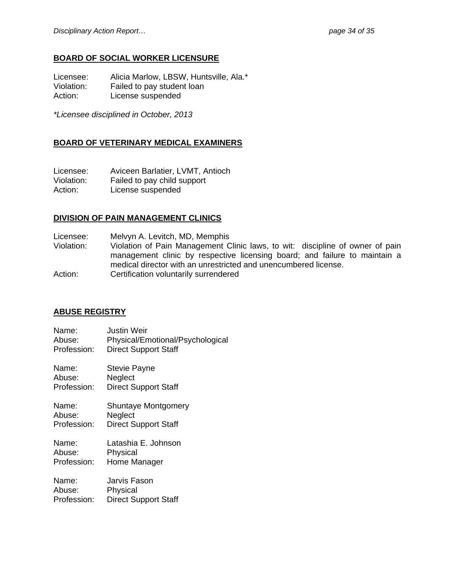## **BOARD OF SOCIAL WORKER LICENSURE**

Licensee: Alicia Marlow, LBSW, Huntsville, Ala.\*<br>Violation: Failed to pay student loan Failed to pay student loan Action: License suspended

*\*Licensee disciplined in October, 2013* 

## **BOARD OF VETERINARY MEDICAL EXAMINERS**

Licensee: Aviceen Barlatier, LVMT, Antioch Violation: Failed to pay child support Action: License suspended

#### **DIVISION OF PAIN MANAGEMENT CLINICS**

Licensee: Melvyn A. Levitch, MD, Memphis

Violation: Violation of Pain Management Clinic laws, to wit: discipline of owner of pain management clinic by respective licensing board; and failure to maintain a medical director with an unrestricted and unencumbered license.

Action: Certification voluntarily surrendered

#### **ABUSE REGISTRY**

| Name:       | <b>Justin Weir</b>               |
|-------------|----------------------------------|
| Abuse:      | Physical/Emotional/Psychological |
| Profession: | <b>Direct Support Staff</b>      |
|             |                                  |

Name: Stevie Payne Abuse: Neglect Profession: Direct Support Staff

Name: Shuntaye Montgomery Abuse: Neglect Profession: Direct Support Staff

Name: Latashia E. Johnson Abuse: Physical Profession: Home Manager

| Name:       | Jarvis Fason                |
|-------------|-----------------------------|
| Abuse:      | Physical                    |
| Profession: | <b>Direct Support Staff</b> |